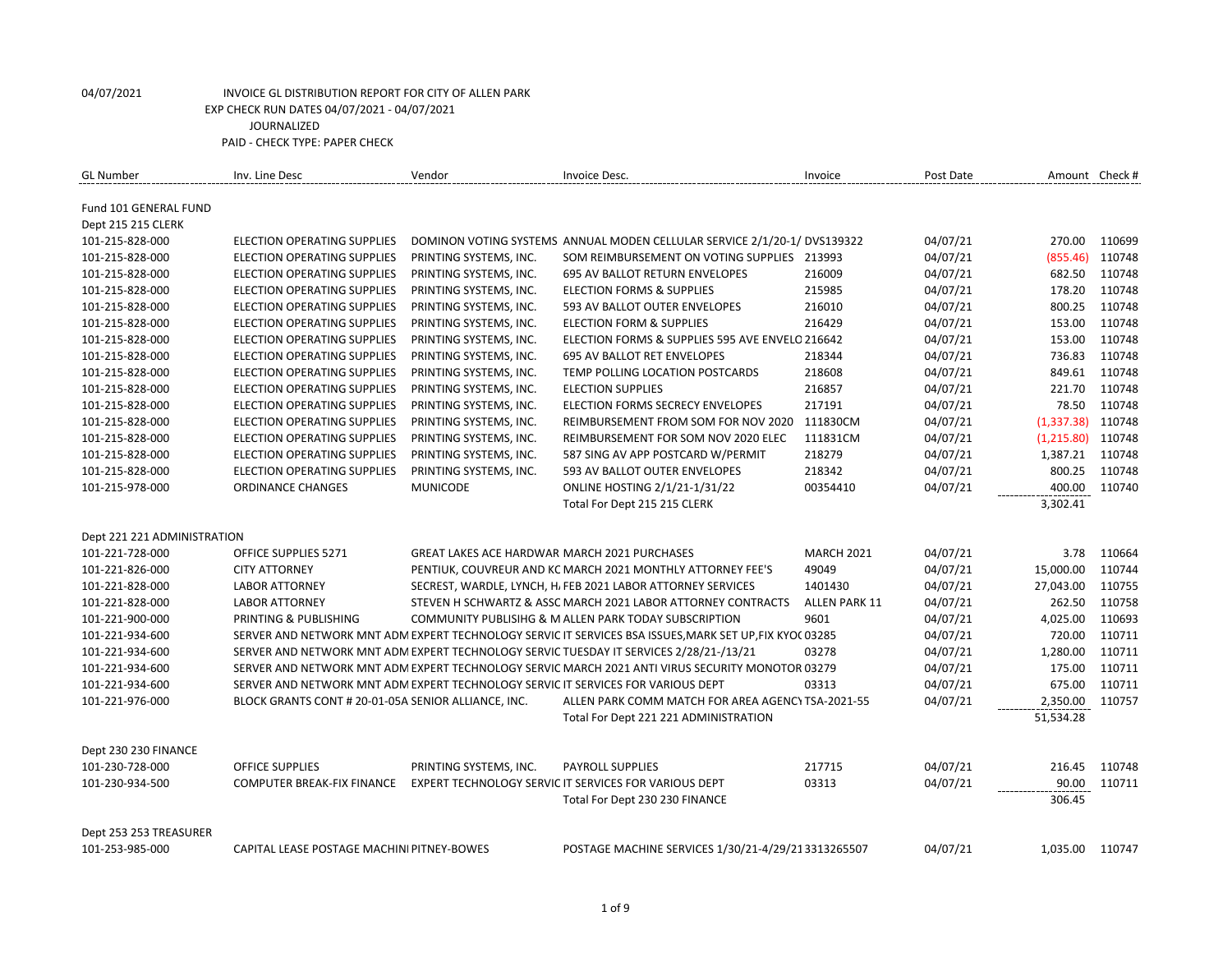| <b>GL Number</b>            | Inv. Line Desc                                                                   | Vendor                                              | Invoice Desc.                                                                                           | Invoice              | Post Date | Amount Check # |        |
|-----------------------------|----------------------------------------------------------------------------------|-----------------------------------------------------|---------------------------------------------------------------------------------------------------------|----------------------|-----------|----------------|--------|
|                             |                                                                                  |                                                     |                                                                                                         |                      |           |                |        |
| Fund 101 GENERAL FUND       |                                                                                  |                                                     |                                                                                                         |                      |           |                |        |
| Dept 215 215 CLERK          |                                                                                  |                                                     |                                                                                                         |                      |           |                |        |
| 101-215-828-000             | <b>ELECTION OPERATING SUPPLIES</b>                                               |                                                     | DOMINON VOTING SYSTEMS ANNUAL MODEN CELLULAR SERVICE 2/1/20-1/ DVS139322                                |                      | 04/07/21  | 270.00         | 110699 |
| 101-215-828-000             | <b>ELECTION OPERATING SUPPLIES</b>                                               | PRINTING SYSTEMS, INC.                              | SOM REIMBURSEMENT ON VOTING SUPPLIES                                                                    | 213993               | 04/07/21  | (855.46)       | 110748 |
| 101-215-828-000             | <b>ELECTION OPERATING SUPPLIES</b>                                               | PRINTING SYSTEMS, INC.                              | <b>695 AV BALLOT RETURN ENVELOPES</b>                                                                   | 216009               | 04/07/21  | 682.50         | 110748 |
| 101-215-828-000             | <b>ELECTION OPERATING SUPPLIES</b>                                               | PRINTING SYSTEMS, INC.                              | <b>ELECTION FORMS &amp; SUPPLIES</b>                                                                    | 215985               | 04/07/21  | 178.20         | 110748 |
| 101-215-828-000             | <b>ELECTION OPERATING SUPPLIES</b>                                               | PRINTING SYSTEMS, INC.                              | 593 AV BALLOT OUTER ENVELOPES                                                                           | 216010               | 04/07/21  | 800.25         | 110748 |
| 101-215-828-000             | ELECTION OPERATING SUPPLIES                                                      | PRINTING SYSTEMS, INC.                              | <b>ELECTION FORM &amp; SUPPLIES</b>                                                                     | 216429               | 04/07/21  | 153.00         | 110748 |
| 101-215-828-000             | <b>ELECTION OPERATING SUPPLIES</b>                                               | PRINTING SYSTEMS, INC.                              | ELECTION FORMS & SUPPLIES 595 AVE ENVELO 216642                                                         |                      | 04/07/21  | 153.00         | 110748 |
| 101-215-828-000             | ELECTION OPERATING SUPPLIES                                                      | PRINTING SYSTEMS, INC.                              | <b>695 AV BALLOT RET ENVELOPES</b>                                                                      | 218344               | 04/07/21  | 736.83         | 110748 |
| 101-215-828-000             | <b>ELECTION OPERATING SUPPLIES</b>                                               | PRINTING SYSTEMS, INC.                              | TEMP POLLING LOCATION POSTCARDS                                                                         | 218608               | 04/07/21  | 849.61         | 110748 |
| 101-215-828-000             | <b>ELECTION OPERATING SUPPLIES</b>                                               | PRINTING SYSTEMS, INC.                              | <b>ELECTION SUPPLIES</b>                                                                                | 216857               | 04/07/21  | 221.70         | 110748 |
| 101-215-828-000             | ELECTION OPERATING SUPPLIES                                                      | PRINTING SYSTEMS, INC.                              | ELECTION FORMS SECRECY ENVELOPES                                                                        | 217191               | 04/07/21  | 78.50          | 110748 |
| 101-215-828-000             | <b>ELECTION OPERATING SUPPLIES</b>                                               | PRINTING SYSTEMS, INC.                              | REIMBURSEMENT FROM SOM FOR NOV 2020                                                                     | 111830CM             | 04/07/21  | (1, 337.38)    | 110748 |
| 101-215-828-000             | <b>ELECTION OPERATING SUPPLIES</b>                                               | PRINTING SYSTEMS, INC.                              | REIMBURSEMENT FOR SOM NOV 2020 ELEC                                                                     | 111831CM             | 04/07/21  | (1,215.80)     | 110748 |
| 101-215-828-000             | <b>ELECTION OPERATING SUPPLIES</b>                                               | PRINTING SYSTEMS, INC.                              | 587 SING AV APP POSTCARD W/PERMIT                                                                       | 218279               | 04/07/21  | 1,387.21       | 110748 |
| 101-215-828-000             | ELECTION OPERATING SUPPLIES                                                      | PRINTING SYSTEMS, INC.                              | 593 AV BALLOT OUTER ENVELOPES                                                                           | 218342               | 04/07/21  | 800.25         | 110748 |
| 101-215-978-000             | <b>ORDINANCE CHANGES</b>                                                         | <b>MUNICODE</b>                                     | <b>ONLINE HOSTING 2/1/21-1/31/22</b>                                                                    | 00354410             | 04/07/21  | 400.00         | 110740 |
|                             |                                                                                  |                                                     | Total For Dept 215 215 CLERK                                                                            |                      |           | 3,302.41       |        |
|                             |                                                                                  |                                                     |                                                                                                         |                      |           |                |        |
| Dept 221 221 ADMINISTRATION |                                                                                  |                                                     |                                                                                                         |                      |           |                |        |
| 101-221-728-000             | OFFICE SUPPLIES 5271                                                             | <b>GREAT LAKES ACE HARDWAR MARCH 2021 PURCHASES</b> |                                                                                                         | <b>MARCH 2021</b>    | 04/07/21  | 3.78           | 110664 |
| 101-221-826-000             | <b>CITY ATTORNEY</b>                                                             |                                                     | PENTIUK, COUVREUR AND KC MARCH 2021 MONTHLY ATTORNEY FEE'S                                              | 49049                | 04/07/21  | 15,000.00      | 110744 |
| 101-221-828-000             | <b>LABOR ATTORNEY</b>                                                            |                                                     | SECREST, WARDLE, LYNCH, H. FEB 2021 LABOR ATTORNEY SERVICES                                             | 1401430              | 04/07/21  | 27,043.00      | 110755 |
| 101-221-828-000             | <b>LABOR ATTORNEY</b>                                                            |                                                     | STEVEN H SCHWARTZ & ASSC MARCH 2021 LABOR ATTORNEY CONTRACTS                                            | <b>ALLEN PARK 11</b> | 04/07/21  | 262.50         | 110758 |
| 101-221-900-000             | PRINTING & PUBLISHING                                                            |                                                     | COMMUNITY PUBLISIHG & M ALLEN PARK TODAY SUBSCRIPTION                                                   | 9601                 | 04/07/21  | 4,025.00       | 110693 |
| 101-221-934-600             |                                                                                  |                                                     | SERVER AND NETWORK MNT ADM EXPERT TECHNOLOGY SERVIC IT SERVICES BSA ISSUES, MARK SET UP, FIX KYOC 03285 |                      | 04/07/21  | 720.00         | 110711 |
| 101-221-934-600             |                                                                                  |                                                     | SERVER AND NETWORK MNT ADM EXPERT TECHNOLOGY SERVIC TUESDAY IT SERVICES 2/28/21-/13/21                  | 03278                | 04/07/21  | 1,280.00       | 110711 |
| 101-221-934-600             |                                                                                  |                                                     | SERVER AND NETWORK MNT ADM EXPERT TECHNOLOGY SERVIC MARCH 2021 ANTI VIRUS SECURITY MONOTOR 03279        |                      | 04/07/21  | 175.00         | 110711 |
| 101-221-934-600             | SERVER AND NETWORK MNT ADM EXPERT TECHNOLOGY SERVIC IT SERVICES FOR VARIOUS DEPT |                                                     |                                                                                                         | 03313                | 04/07/21  | 675.00         | 110711 |
| 101-221-976-000             | BLOCK GRANTS CONT # 20-01-05A SENIOR ALLIANCE, INC.                              |                                                     | ALLEN PARK COMM MATCH FOR AREA AGENCY TSA-2021-55                                                       |                      | 04/07/21  | 2,350.00       | 110757 |
|                             |                                                                                  |                                                     | Total For Dept 221 221 ADMINISTRATION                                                                   |                      |           | 51,534.28      |        |
|                             |                                                                                  |                                                     |                                                                                                         |                      |           |                |        |
| Dept 230 230 FINANCE        |                                                                                  |                                                     |                                                                                                         |                      |           |                |        |
| 101-230-728-000             | <b>OFFICE SUPPLIES</b>                                                           | PRINTING SYSTEMS, INC.                              | <b>PAYROLL SUPPLIES</b>                                                                                 | 217715               | 04/07/21  | 216.45         | 110748 |
| 101-230-934-500             | <b>COMPUTER BREAK-FIX FINANCE</b>                                                |                                                     | EXPERT TECHNOLOGY SERVIC IT SERVICES FOR VARIOUS DEPT                                                   | 03313                | 04/07/21  | 90.00          | 110711 |
|                             |                                                                                  |                                                     | Total For Dept 230 230 FINANCE                                                                          |                      |           | 306.45         |        |
|                             |                                                                                  |                                                     |                                                                                                         |                      |           |                |        |
| Dept 253 253 TREASURER      |                                                                                  |                                                     |                                                                                                         |                      |           |                |        |
| 101-253-985-000             | CAPITAL LEASE POSTAGE MACHINI PITNEY-BOWES                                       |                                                     | POSTAGE MACHINE SERVICES 1/30/21-4/29/213313265507                                                      |                      | 04/07/21  | 1,035.00       | 110747 |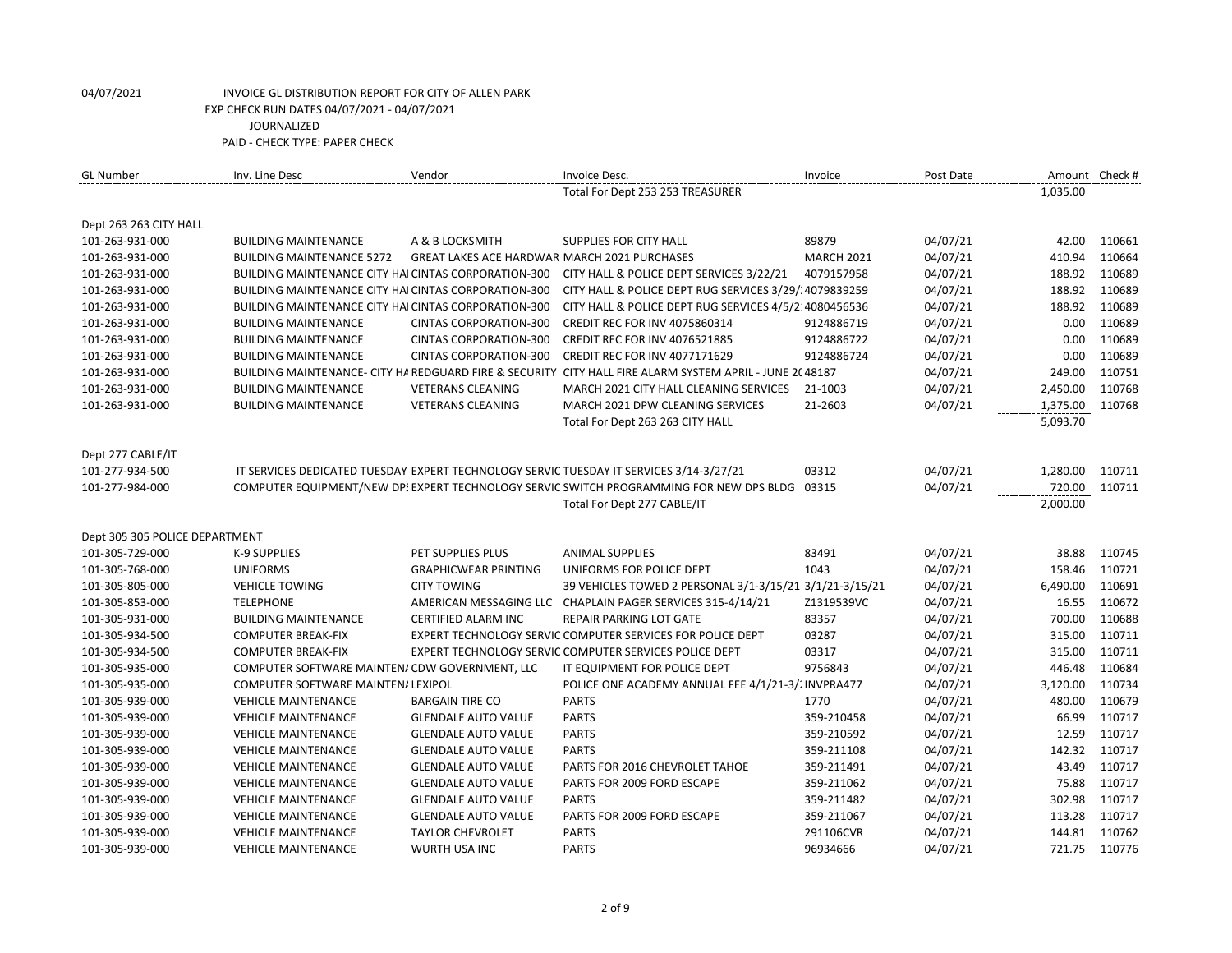| Total For Dept 253 253 TREASURER<br>1,035.00<br>Dept 263 263 CITY HALL<br>101-263-931-000<br>89879<br>04/07/21<br>42.00<br>110661<br><b>BUILDING MAINTENANCE</b><br>A & B LOCKSMITH<br>SUPPLIES FOR CITY HALL<br>04/07/21<br>410.94<br>110664<br>101-263-931-000<br><b>BUILDING MAINTENANCE 5272</b><br><b>GREAT LAKES ACE HARDWAR MARCH 2021 PURCHASES</b><br><b>MARCH 2021</b><br>04/07/21<br>188.92<br>110689<br>101-263-931-000<br>BUILDING MAINTENANCE CITY HAI CINTAS CORPORATION-300<br>CITY HALL & POLICE DEPT SERVICES 3/22/21<br>4079157958<br>188.92<br>110689<br><b>BUILDING MAINTENANCE CITY HAI CINTAS CORPORATION-300</b><br>CITY HALL & POLICE DEPT RUG SERVICES 3/29/.4079839259<br>04/07/21<br>101-263-931-000<br>188.92<br>04/07/21<br>110689<br>101-263-931-000<br>BUILDING MAINTENANCE CITY HAI CINTAS CORPORATION-300<br>CITY HALL & POLICE DEPT RUG SERVICES 4/5/2: 4080456536<br>0.00<br>110689<br>101-263-931-000<br><b>BUILDING MAINTENANCE</b><br><b>CINTAS CORPORATION-300</b><br>9124886719<br>04/07/21<br><b>CREDIT REC FOR INV 4075860314</b><br>110689<br>04/07/21<br>0.00<br>101-263-931-000<br><b>BUILDING MAINTENANCE</b><br><b>CINTAS CORPORATION-300</b><br><b>CREDIT REC FOR INV 4076521885</b><br>9124886722<br>110689<br><b>BUILDING MAINTENANCE</b><br><b>CINTAS CORPORATION-300</b><br><b>CREDIT REC FOR INV 4077171629</b><br>9124886724<br>04/07/21<br>0.00<br>101-263-931-000<br>BUILDING MAINTENANCE- CITY HA REDGUARD FIRE & SECURITY CITY HALL FIRE ALARM SYSTEM APRIL - JUNE 2C 48187<br>04/07/21<br>249.00<br>110751<br>101-263-931-000<br>2,450.00<br>110768<br>101-263-931-000<br><b>BUILDING MAINTENANCE</b><br><b>VETERANS CLEANING</b><br>MARCH 2021 CITY HALL CLEANING SERVICES<br>21-1003<br>04/07/21<br><b>BUILDING MAINTENANCE</b><br><b>VETERANS CLEANING</b><br>MARCH 2021 DPW CLEANING SERVICES<br>21-2603<br>04/07/21<br>1,375.00<br>110768<br>101-263-931-000<br>5,093.70<br>Total For Dept 263 263 CITY HALL<br>Dept 277 CABLE/IT<br>101-277-934-500<br>03312<br>04/07/21<br>1,280.00<br>110711<br>IT SERVICES DEDICATED TUESDAY EXPERT TECHNOLOGY SERVIC TUESDAY IT SERVICES 3/14-3/27/21<br>COMPUTER EQUIPMENT/NEW DP! EXPERT TECHNOLOGY SERVIC SWITCH PROGRAMMING FOR NEW DPS BLDG 03315<br>04/07/21<br>720.00<br>110711<br>101-277-984-000<br>Total For Dept 277 CABLE/IT<br>2,000.00<br>Dept 305 305 POLICE DEPARTMENT<br>83491<br>04/07/21<br>38.88<br>110745<br>101-305-729-000<br>K-9 SUPPLIES<br>PET SUPPLIES PLUS<br>ANIMAL SUPPLIES<br>1043<br>04/07/21<br>110721<br>101-305-768-000<br><b>UNIFORMS</b><br><b>GRAPHICWEAR PRINTING</b><br>UNIFORMS FOR POLICE DEPT<br>158.46<br>110691<br>101-305-805-000<br><b>VEHICLE TOWING</b><br><b>CITY TOWING</b><br>39 VEHICLES TOWED 2 PERSONAL 3/1-3/15/21 3/1/21-3/15/21<br>04/07/21<br>6,490.00<br><b>TELEPHONE</b><br>04/07/21<br>16.55<br>110672<br>101-305-853-000<br>AMERICAN MESSAGING LLC CHAPLAIN PAGER SERVICES 315-4/14/21<br>Z1319539VC<br>700.00<br>110688<br>101-305-931-000<br><b>BUILDING MAINTENANCE</b><br>CERTIFIED ALARM INC<br>REPAIR PARKING LOT GATE<br>83357<br>04/07/21<br>110711<br><b>COMPUTER BREAK-FIX</b><br>EXPERT TECHNOLOGY SERVIC COMPUTER SERVICES FOR POLICE DEPT<br>03287<br>04/07/21<br>315.00<br>101-305-934-500<br>110711<br>03317<br>04/07/21<br>315.00<br><b>COMPUTER BREAK-FIX</b><br>EXPERT TECHNOLOGY SERVIC COMPUTER SERVICES POLICE DEPT<br>101-305-934-500<br>110684<br>COMPUTER SOFTWARE MAINTEN/ CDW GOVERNMENT, LLC<br>IT EQUIPMENT FOR POLICE DEPT<br>9756843<br>04/07/21<br>446.48<br>101-305-935-000<br>3,120.00<br>110734<br>101-305-935-000<br>COMPUTER SOFTWARE MAINTEN/ LEXIPOL<br>POLICE ONE ACADEMY ANNUAL FEE 4/1/21-3/. INVPRA477<br>04/07/21<br>480.00<br>110679<br>101-305-939-000<br><b>BARGAIN TIRE CO</b><br><b>PARTS</b><br>1770<br>04/07/21<br><b>VEHICLE MAINTENANCE</b><br><b>PARTS</b><br>359-210458<br>04/07/21<br>66.99<br>110717<br>101-305-939-000<br><b>VEHICLE MAINTENANCE</b><br><b>GLENDALE AUTO VALUE</b><br>110717<br>04/07/21<br>12.59<br>101-305-939-000<br><b>GLENDALE AUTO VALUE</b><br><b>PARTS</b><br>359-210592<br><b>VEHICLE MAINTENANCE</b><br>110717<br><b>PARTS</b><br>359-211108<br>04/07/21<br>142.32<br>101-305-939-000<br><b>VEHICLE MAINTENANCE</b><br><b>GLENDALE AUTO VALUE</b><br>43.49<br>110717<br>101-305-939-000<br><b>VEHICLE MAINTENANCE</b><br><b>GLENDALE AUTO VALUE</b><br>PARTS FOR 2016 CHEVROLET TAHOE<br>359-211491<br>04/07/21<br>75.88<br>110717<br>PARTS FOR 2009 FORD ESCAPE<br>04/07/21<br>101-305-939-000<br><b>VEHICLE MAINTENANCE</b><br><b>GLENDALE AUTO VALUE</b><br>359-211062<br><b>PARTS</b><br>302.98<br>110717<br>101-305-939-000<br><b>VEHICLE MAINTENANCE</b><br><b>GLENDALE AUTO VALUE</b><br>359-211482<br>04/07/21<br>110717<br>PARTS FOR 2009 FORD ESCAPE<br>359-211067<br>04/07/21<br>113.28<br>101-305-939-000<br><b>VEHICLE MAINTENANCE</b><br><b>GLENDALE AUTO VALUE</b><br><b>PARTS</b><br>04/07/21<br>144.81<br>110762<br>101-305-939-000<br><b>VEHICLE MAINTENANCE</b><br><b>TAYLOR CHEVROLET</b><br>291106CVR | <b>GL Number</b> | Inv. Line Desc | Vendor | Invoice Desc. | Invoice | Post Date | Amount Check # |
|------------------------------------------------------------------------------------------------------------------------------------------------------------------------------------------------------------------------------------------------------------------------------------------------------------------------------------------------------------------------------------------------------------------------------------------------------------------------------------------------------------------------------------------------------------------------------------------------------------------------------------------------------------------------------------------------------------------------------------------------------------------------------------------------------------------------------------------------------------------------------------------------------------------------------------------------------------------------------------------------------------------------------------------------------------------------------------------------------------------------------------------------------------------------------------------------------------------------------------------------------------------------------------------------------------------------------------------------------------------------------------------------------------------------------------------------------------------------------------------------------------------------------------------------------------------------------------------------------------------------------------------------------------------------------------------------------------------------------------------------------------------------------------------------------------------------------------------------------------------------------------------------------------------------------------------------------------------------------------------------------------------------------------------------------------------------------------------------------------------------------------------------------------------------------------------------------------------------------------------------------------------------------------------------------------------------------------------------------------------------------------------------------------------------------------------------------------------------------------------------------------------------------------------------------------------------------------------------------------------------------------------------------------------------------------------------------------------------------------------------------------------------------------------------------------------------------------------------------------------------------------------------------------------------------------------------------------------------------------------------------------------------------------------------------------------------------------------------------------------------------------------------------------------------------------------------------------------------------------------------------------------------------------------------------------------------------------------------------------------------------------------------------------------------------------------------------------------------------------------------------------------------------------------------------------------------------------------------------------------------------------------------------------------------------------------------------------------------------------------------------------------------------------------------------------------------------------------------------------------------------------------------------------------------------------------------------------------------------------------------------------------------------------------------------------------------------------------------------------------------------------------------------------------------------------------------------------------------------------------------------------------------------------------------------------------------------------------------------------------------------------------------------------------------------------------------------------------------------------------------------------------------------------------------------------------------------------------------------------------------------------------------------------------------------------------------------------------------------------------------------------------------------------------------------------------------------------------------------------------------------------------------------------------------------------------------------------------------------------------------------------------------------------------------------------------------------------|------------------|----------------|--------|---------------|---------|-----------|----------------|
|                                                                                                                                                                                                                                                                                                                                                                                                                                                                                                                                                                                                                                                                                                                                                                                                                                                                                                                                                                                                                                                                                                                                                                                                                                                                                                                                                                                                                                                                                                                                                                                                                                                                                                                                                                                                                                                                                                                                                                                                                                                                                                                                                                                                                                                                                                                                                                                                                                                                                                                                                                                                                                                                                                                                                                                                                                                                                                                                                                                                                                                                                                                                                                                                                                                                                                                                                                                                                                                                                                                                                                                                                                                                                                                                                                                                                                                                                                                                                                                                                                                                                                                                                                                                                                                                                                                                                                                                                                                                                                                                                                                                                                                                                                                                                                                                                                                                                                                                                                                                                                                                                    |                  |                |        |               |         |           |                |
|                                                                                                                                                                                                                                                                                                                                                                                                                                                                                                                                                                                                                                                                                                                                                                                                                                                                                                                                                                                                                                                                                                                                                                                                                                                                                                                                                                                                                                                                                                                                                                                                                                                                                                                                                                                                                                                                                                                                                                                                                                                                                                                                                                                                                                                                                                                                                                                                                                                                                                                                                                                                                                                                                                                                                                                                                                                                                                                                                                                                                                                                                                                                                                                                                                                                                                                                                                                                                                                                                                                                                                                                                                                                                                                                                                                                                                                                                                                                                                                                                                                                                                                                                                                                                                                                                                                                                                                                                                                                                                                                                                                                                                                                                                                                                                                                                                                                                                                                                                                                                                                                                    |                  |                |        |               |         |           |                |
|                                                                                                                                                                                                                                                                                                                                                                                                                                                                                                                                                                                                                                                                                                                                                                                                                                                                                                                                                                                                                                                                                                                                                                                                                                                                                                                                                                                                                                                                                                                                                                                                                                                                                                                                                                                                                                                                                                                                                                                                                                                                                                                                                                                                                                                                                                                                                                                                                                                                                                                                                                                                                                                                                                                                                                                                                                                                                                                                                                                                                                                                                                                                                                                                                                                                                                                                                                                                                                                                                                                                                                                                                                                                                                                                                                                                                                                                                                                                                                                                                                                                                                                                                                                                                                                                                                                                                                                                                                                                                                                                                                                                                                                                                                                                                                                                                                                                                                                                                                                                                                                                                    |                  |                |        |               |         |           |                |
|                                                                                                                                                                                                                                                                                                                                                                                                                                                                                                                                                                                                                                                                                                                                                                                                                                                                                                                                                                                                                                                                                                                                                                                                                                                                                                                                                                                                                                                                                                                                                                                                                                                                                                                                                                                                                                                                                                                                                                                                                                                                                                                                                                                                                                                                                                                                                                                                                                                                                                                                                                                                                                                                                                                                                                                                                                                                                                                                                                                                                                                                                                                                                                                                                                                                                                                                                                                                                                                                                                                                                                                                                                                                                                                                                                                                                                                                                                                                                                                                                                                                                                                                                                                                                                                                                                                                                                                                                                                                                                                                                                                                                                                                                                                                                                                                                                                                                                                                                                                                                                                                                    |                  |                |        |               |         |           |                |
|                                                                                                                                                                                                                                                                                                                                                                                                                                                                                                                                                                                                                                                                                                                                                                                                                                                                                                                                                                                                                                                                                                                                                                                                                                                                                                                                                                                                                                                                                                                                                                                                                                                                                                                                                                                                                                                                                                                                                                                                                                                                                                                                                                                                                                                                                                                                                                                                                                                                                                                                                                                                                                                                                                                                                                                                                                                                                                                                                                                                                                                                                                                                                                                                                                                                                                                                                                                                                                                                                                                                                                                                                                                                                                                                                                                                                                                                                                                                                                                                                                                                                                                                                                                                                                                                                                                                                                                                                                                                                                                                                                                                                                                                                                                                                                                                                                                                                                                                                                                                                                                                                    |                  |                |        |               |         |           |                |
|                                                                                                                                                                                                                                                                                                                                                                                                                                                                                                                                                                                                                                                                                                                                                                                                                                                                                                                                                                                                                                                                                                                                                                                                                                                                                                                                                                                                                                                                                                                                                                                                                                                                                                                                                                                                                                                                                                                                                                                                                                                                                                                                                                                                                                                                                                                                                                                                                                                                                                                                                                                                                                                                                                                                                                                                                                                                                                                                                                                                                                                                                                                                                                                                                                                                                                                                                                                                                                                                                                                                                                                                                                                                                                                                                                                                                                                                                                                                                                                                                                                                                                                                                                                                                                                                                                                                                                                                                                                                                                                                                                                                                                                                                                                                                                                                                                                                                                                                                                                                                                                                                    |                  |                |        |               |         |           |                |
|                                                                                                                                                                                                                                                                                                                                                                                                                                                                                                                                                                                                                                                                                                                                                                                                                                                                                                                                                                                                                                                                                                                                                                                                                                                                                                                                                                                                                                                                                                                                                                                                                                                                                                                                                                                                                                                                                                                                                                                                                                                                                                                                                                                                                                                                                                                                                                                                                                                                                                                                                                                                                                                                                                                                                                                                                                                                                                                                                                                                                                                                                                                                                                                                                                                                                                                                                                                                                                                                                                                                                                                                                                                                                                                                                                                                                                                                                                                                                                                                                                                                                                                                                                                                                                                                                                                                                                                                                                                                                                                                                                                                                                                                                                                                                                                                                                                                                                                                                                                                                                                                                    |                  |                |        |               |         |           |                |
|                                                                                                                                                                                                                                                                                                                                                                                                                                                                                                                                                                                                                                                                                                                                                                                                                                                                                                                                                                                                                                                                                                                                                                                                                                                                                                                                                                                                                                                                                                                                                                                                                                                                                                                                                                                                                                                                                                                                                                                                                                                                                                                                                                                                                                                                                                                                                                                                                                                                                                                                                                                                                                                                                                                                                                                                                                                                                                                                                                                                                                                                                                                                                                                                                                                                                                                                                                                                                                                                                                                                                                                                                                                                                                                                                                                                                                                                                                                                                                                                                                                                                                                                                                                                                                                                                                                                                                                                                                                                                                                                                                                                                                                                                                                                                                                                                                                                                                                                                                                                                                                                                    |                  |                |        |               |         |           |                |
|                                                                                                                                                                                                                                                                                                                                                                                                                                                                                                                                                                                                                                                                                                                                                                                                                                                                                                                                                                                                                                                                                                                                                                                                                                                                                                                                                                                                                                                                                                                                                                                                                                                                                                                                                                                                                                                                                                                                                                                                                                                                                                                                                                                                                                                                                                                                                                                                                                                                                                                                                                                                                                                                                                                                                                                                                                                                                                                                                                                                                                                                                                                                                                                                                                                                                                                                                                                                                                                                                                                                                                                                                                                                                                                                                                                                                                                                                                                                                                                                                                                                                                                                                                                                                                                                                                                                                                                                                                                                                                                                                                                                                                                                                                                                                                                                                                                                                                                                                                                                                                                                                    |                  |                |        |               |         |           |                |
|                                                                                                                                                                                                                                                                                                                                                                                                                                                                                                                                                                                                                                                                                                                                                                                                                                                                                                                                                                                                                                                                                                                                                                                                                                                                                                                                                                                                                                                                                                                                                                                                                                                                                                                                                                                                                                                                                                                                                                                                                                                                                                                                                                                                                                                                                                                                                                                                                                                                                                                                                                                                                                                                                                                                                                                                                                                                                                                                                                                                                                                                                                                                                                                                                                                                                                                                                                                                                                                                                                                                                                                                                                                                                                                                                                                                                                                                                                                                                                                                                                                                                                                                                                                                                                                                                                                                                                                                                                                                                                                                                                                                                                                                                                                                                                                                                                                                                                                                                                                                                                                                                    |                  |                |        |               |         |           |                |
|                                                                                                                                                                                                                                                                                                                                                                                                                                                                                                                                                                                                                                                                                                                                                                                                                                                                                                                                                                                                                                                                                                                                                                                                                                                                                                                                                                                                                                                                                                                                                                                                                                                                                                                                                                                                                                                                                                                                                                                                                                                                                                                                                                                                                                                                                                                                                                                                                                                                                                                                                                                                                                                                                                                                                                                                                                                                                                                                                                                                                                                                                                                                                                                                                                                                                                                                                                                                                                                                                                                                                                                                                                                                                                                                                                                                                                                                                                                                                                                                                                                                                                                                                                                                                                                                                                                                                                                                                                                                                                                                                                                                                                                                                                                                                                                                                                                                                                                                                                                                                                                                                    |                  |                |        |               |         |           |                |
|                                                                                                                                                                                                                                                                                                                                                                                                                                                                                                                                                                                                                                                                                                                                                                                                                                                                                                                                                                                                                                                                                                                                                                                                                                                                                                                                                                                                                                                                                                                                                                                                                                                                                                                                                                                                                                                                                                                                                                                                                                                                                                                                                                                                                                                                                                                                                                                                                                                                                                                                                                                                                                                                                                                                                                                                                                                                                                                                                                                                                                                                                                                                                                                                                                                                                                                                                                                                                                                                                                                                                                                                                                                                                                                                                                                                                                                                                                                                                                                                                                                                                                                                                                                                                                                                                                                                                                                                                                                                                                                                                                                                                                                                                                                                                                                                                                                                                                                                                                                                                                                                                    |                  |                |        |               |         |           |                |
|                                                                                                                                                                                                                                                                                                                                                                                                                                                                                                                                                                                                                                                                                                                                                                                                                                                                                                                                                                                                                                                                                                                                                                                                                                                                                                                                                                                                                                                                                                                                                                                                                                                                                                                                                                                                                                                                                                                                                                                                                                                                                                                                                                                                                                                                                                                                                                                                                                                                                                                                                                                                                                                                                                                                                                                                                                                                                                                                                                                                                                                                                                                                                                                                                                                                                                                                                                                                                                                                                                                                                                                                                                                                                                                                                                                                                                                                                                                                                                                                                                                                                                                                                                                                                                                                                                                                                                                                                                                                                                                                                                                                                                                                                                                                                                                                                                                                                                                                                                                                                                                                                    |                  |                |        |               |         |           |                |
|                                                                                                                                                                                                                                                                                                                                                                                                                                                                                                                                                                                                                                                                                                                                                                                                                                                                                                                                                                                                                                                                                                                                                                                                                                                                                                                                                                                                                                                                                                                                                                                                                                                                                                                                                                                                                                                                                                                                                                                                                                                                                                                                                                                                                                                                                                                                                                                                                                                                                                                                                                                                                                                                                                                                                                                                                                                                                                                                                                                                                                                                                                                                                                                                                                                                                                                                                                                                                                                                                                                                                                                                                                                                                                                                                                                                                                                                                                                                                                                                                                                                                                                                                                                                                                                                                                                                                                                                                                                                                                                                                                                                                                                                                                                                                                                                                                                                                                                                                                                                                                                                                    |                  |                |        |               |         |           |                |
|                                                                                                                                                                                                                                                                                                                                                                                                                                                                                                                                                                                                                                                                                                                                                                                                                                                                                                                                                                                                                                                                                                                                                                                                                                                                                                                                                                                                                                                                                                                                                                                                                                                                                                                                                                                                                                                                                                                                                                                                                                                                                                                                                                                                                                                                                                                                                                                                                                                                                                                                                                                                                                                                                                                                                                                                                                                                                                                                                                                                                                                                                                                                                                                                                                                                                                                                                                                                                                                                                                                                                                                                                                                                                                                                                                                                                                                                                                                                                                                                                                                                                                                                                                                                                                                                                                                                                                                                                                                                                                                                                                                                                                                                                                                                                                                                                                                                                                                                                                                                                                                                                    |                  |                |        |               |         |           |                |
|                                                                                                                                                                                                                                                                                                                                                                                                                                                                                                                                                                                                                                                                                                                                                                                                                                                                                                                                                                                                                                                                                                                                                                                                                                                                                                                                                                                                                                                                                                                                                                                                                                                                                                                                                                                                                                                                                                                                                                                                                                                                                                                                                                                                                                                                                                                                                                                                                                                                                                                                                                                                                                                                                                                                                                                                                                                                                                                                                                                                                                                                                                                                                                                                                                                                                                                                                                                                                                                                                                                                                                                                                                                                                                                                                                                                                                                                                                                                                                                                                                                                                                                                                                                                                                                                                                                                                                                                                                                                                                                                                                                                                                                                                                                                                                                                                                                                                                                                                                                                                                                                                    |                  |                |        |               |         |           |                |
|                                                                                                                                                                                                                                                                                                                                                                                                                                                                                                                                                                                                                                                                                                                                                                                                                                                                                                                                                                                                                                                                                                                                                                                                                                                                                                                                                                                                                                                                                                                                                                                                                                                                                                                                                                                                                                                                                                                                                                                                                                                                                                                                                                                                                                                                                                                                                                                                                                                                                                                                                                                                                                                                                                                                                                                                                                                                                                                                                                                                                                                                                                                                                                                                                                                                                                                                                                                                                                                                                                                                                                                                                                                                                                                                                                                                                                                                                                                                                                                                                                                                                                                                                                                                                                                                                                                                                                                                                                                                                                                                                                                                                                                                                                                                                                                                                                                                                                                                                                                                                                                                                    |                  |                |        |               |         |           |                |
|                                                                                                                                                                                                                                                                                                                                                                                                                                                                                                                                                                                                                                                                                                                                                                                                                                                                                                                                                                                                                                                                                                                                                                                                                                                                                                                                                                                                                                                                                                                                                                                                                                                                                                                                                                                                                                                                                                                                                                                                                                                                                                                                                                                                                                                                                                                                                                                                                                                                                                                                                                                                                                                                                                                                                                                                                                                                                                                                                                                                                                                                                                                                                                                                                                                                                                                                                                                                                                                                                                                                                                                                                                                                                                                                                                                                                                                                                                                                                                                                                                                                                                                                                                                                                                                                                                                                                                                                                                                                                                                                                                                                                                                                                                                                                                                                                                                                                                                                                                                                                                                                                    |                  |                |        |               |         |           |                |
|                                                                                                                                                                                                                                                                                                                                                                                                                                                                                                                                                                                                                                                                                                                                                                                                                                                                                                                                                                                                                                                                                                                                                                                                                                                                                                                                                                                                                                                                                                                                                                                                                                                                                                                                                                                                                                                                                                                                                                                                                                                                                                                                                                                                                                                                                                                                                                                                                                                                                                                                                                                                                                                                                                                                                                                                                                                                                                                                                                                                                                                                                                                                                                                                                                                                                                                                                                                                                                                                                                                                                                                                                                                                                                                                                                                                                                                                                                                                                                                                                                                                                                                                                                                                                                                                                                                                                                                                                                                                                                                                                                                                                                                                                                                                                                                                                                                                                                                                                                                                                                                                                    |                  |                |        |               |         |           |                |
|                                                                                                                                                                                                                                                                                                                                                                                                                                                                                                                                                                                                                                                                                                                                                                                                                                                                                                                                                                                                                                                                                                                                                                                                                                                                                                                                                                                                                                                                                                                                                                                                                                                                                                                                                                                                                                                                                                                                                                                                                                                                                                                                                                                                                                                                                                                                                                                                                                                                                                                                                                                                                                                                                                                                                                                                                                                                                                                                                                                                                                                                                                                                                                                                                                                                                                                                                                                                                                                                                                                                                                                                                                                                                                                                                                                                                                                                                                                                                                                                                                                                                                                                                                                                                                                                                                                                                                                                                                                                                                                                                                                                                                                                                                                                                                                                                                                                                                                                                                                                                                                                                    |                  |                |        |               |         |           |                |
|                                                                                                                                                                                                                                                                                                                                                                                                                                                                                                                                                                                                                                                                                                                                                                                                                                                                                                                                                                                                                                                                                                                                                                                                                                                                                                                                                                                                                                                                                                                                                                                                                                                                                                                                                                                                                                                                                                                                                                                                                                                                                                                                                                                                                                                                                                                                                                                                                                                                                                                                                                                                                                                                                                                                                                                                                                                                                                                                                                                                                                                                                                                                                                                                                                                                                                                                                                                                                                                                                                                                                                                                                                                                                                                                                                                                                                                                                                                                                                                                                                                                                                                                                                                                                                                                                                                                                                                                                                                                                                                                                                                                                                                                                                                                                                                                                                                                                                                                                                                                                                                                                    |                  |                |        |               |         |           |                |
|                                                                                                                                                                                                                                                                                                                                                                                                                                                                                                                                                                                                                                                                                                                                                                                                                                                                                                                                                                                                                                                                                                                                                                                                                                                                                                                                                                                                                                                                                                                                                                                                                                                                                                                                                                                                                                                                                                                                                                                                                                                                                                                                                                                                                                                                                                                                                                                                                                                                                                                                                                                                                                                                                                                                                                                                                                                                                                                                                                                                                                                                                                                                                                                                                                                                                                                                                                                                                                                                                                                                                                                                                                                                                                                                                                                                                                                                                                                                                                                                                                                                                                                                                                                                                                                                                                                                                                                                                                                                                                                                                                                                                                                                                                                                                                                                                                                                                                                                                                                                                                                                                    |                  |                |        |               |         |           |                |
|                                                                                                                                                                                                                                                                                                                                                                                                                                                                                                                                                                                                                                                                                                                                                                                                                                                                                                                                                                                                                                                                                                                                                                                                                                                                                                                                                                                                                                                                                                                                                                                                                                                                                                                                                                                                                                                                                                                                                                                                                                                                                                                                                                                                                                                                                                                                                                                                                                                                                                                                                                                                                                                                                                                                                                                                                                                                                                                                                                                                                                                                                                                                                                                                                                                                                                                                                                                                                                                                                                                                                                                                                                                                                                                                                                                                                                                                                                                                                                                                                                                                                                                                                                                                                                                                                                                                                                                                                                                                                                                                                                                                                                                                                                                                                                                                                                                                                                                                                                                                                                                                                    |                  |                |        |               |         |           |                |
|                                                                                                                                                                                                                                                                                                                                                                                                                                                                                                                                                                                                                                                                                                                                                                                                                                                                                                                                                                                                                                                                                                                                                                                                                                                                                                                                                                                                                                                                                                                                                                                                                                                                                                                                                                                                                                                                                                                                                                                                                                                                                                                                                                                                                                                                                                                                                                                                                                                                                                                                                                                                                                                                                                                                                                                                                                                                                                                                                                                                                                                                                                                                                                                                                                                                                                                                                                                                                                                                                                                                                                                                                                                                                                                                                                                                                                                                                                                                                                                                                                                                                                                                                                                                                                                                                                                                                                                                                                                                                                                                                                                                                                                                                                                                                                                                                                                                                                                                                                                                                                                                                    |                  |                |        |               |         |           |                |
|                                                                                                                                                                                                                                                                                                                                                                                                                                                                                                                                                                                                                                                                                                                                                                                                                                                                                                                                                                                                                                                                                                                                                                                                                                                                                                                                                                                                                                                                                                                                                                                                                                                                                                                                                                                                                                                                                                                                                                                                                                                                                                                                                                                                                                                                                                                                                                                                                                                                                                                                                                                                                                                                                                                                                                                                                                                                                                                                                                                                                                                                                                                                                                                                                                                                                                                                                                                                                                                                                                                                                                                                                                                                                                                                                                                                                                                                                                                                                                                                                                                                                                                                                                                                                                                                                                                                                                                                                                                                                                                                                                                                                                                                                                                                                                                                                                                                                                                                                                                                                                                                                    |                  |                |        |               |         |           |                |
|                                                                                                                                                                                                                                                                                                                                                                                                                                                                                                                                                                                                                                                                                                                                                                                                                                                                                                                                                                                                                                                                                                                                                                                                                                                                                                                                                                                                                                                                                                                                                                                                                                                                                                                                                                                                                                                                                                                                                                                                                                                                                                                                                                                                                                                                                                                                                                                                                                                                                                                                                                                                                                                                                                                                                                                                                                                                                                                                                                                                                                                                                                                                                                                                                                                                                                                                                                                                                                                                                                                                                                                                                                                                                                                                                                                                                                                                                                                                                                                                                                                                                                                                                                                                                                                                                                                                                                                                                                                                                                                                                                                                                                                                                                                                                                                                                                                                                                                                                                                                                                                                                    |                  |                |        |               |         |           |                |
|                                                                                                                                                                                                                                                                                                                                                                                                                                                                                                                                                                                                                                                                                                                                                                                                                                                                                                                                                                                                                                                                                                                                                                                                                                                                                                                                                                                                                                                                                                                                                                                                                                                                                                                                                                                                                                                                                                                                                                                                                                                                                                                                                                                                                                                                                                                                                                                                                                                                                                                                                                                                                                                                                                                                                                                                                                                                                                                                                                                                                                                                                                                                                                                                                                                                                                                                                                                                                                                                                                                                                                                                                                                                                                                                                                                                                                                                                                                                                                                                                                                                                                                                                                                                                                                                                                                                                                                                                                                                                                                                                                                                                                                                                                                                                                                                                                                                                                                                                                                                                                                                                    |                  |                |        |               |         |           |                |
|                                                                                                                                                                                                                                                                                                                                                                                                                                                                                                                                                                                                                                                                                                                                                                                                                                                                                                                                                                                                                                                                                                                                                                                                                                                                                                                                                                                                                                                                                                                                                                                                                                                                                                                                                                                                                                                                                                                                                                                                                                                                                                                                                                                                                                                                                                                                                                                                                                                                                                                                                                                                                                                                                                                                                                                                                                                                                                                                                                                                                                                                                                                                                                                                                                                                                                                                                                                                                                                                                                                                                                                                                                                                                                                                                                                                                                                                                                                                                                                                                                                                                                                                                                                                                                                                                                                                                                                                                                                                                                                                                                                                                                                                                                                                                                                                                                                                                                                                                                                                                                                                                    |                  |                |        |               |         |           |                |
|                                                                                                                                                                                                                                                                                                                                                                                                                                                                                                                                                                                                                                                                                                                                                                                                                                                                                                                                                                                                                                                                                                                                                                                                                                                                                                                                                                                                                                                                                                                                                                                                                                                                                                                                                                                                                                                                                                                                                                                                                                                                                                                                                                                                                                                                                                                                                                                                                                                                                                                                                                                                                                                                                                                                                                                                                                                                                                                                                                                                                                                                                                                                                                                                                                                                                                                                                                                                                                                                                                                                                                                                                                                                                                                                                                                                                                                                                                                                                                                                                                                                                                                                                                                                                                                                                                                                                                                                                                                                                                                                                                                                                                                                                                                                                                                                                                                                                                                                                                                                                                                                                    |                  |                |        |               |         |           |                |
|                                                                                                                                                                                                                                                                                                                                                                                                                                                                                                                                                                                                                                                                                                                                                                                                                                                                                                                                                                                                                                                                                                                                                                                                                                                                                                                                                                                                                                                                                                                                                                                                                                                                                                                                                                                                                                                                                                                                                                                                                                                                                                                                                                                                                                                                                                                                                                                                                                                                                                                                                                                                                                                                                                                                                                                                                                                                                                                                                                                                                                                                                                                                                                                                                                                                                                                                                                                                                                                                                                                                                                                                                                                                                                                                                                                                                                                                                                                                                                                                                                                                                                                                                                                                                                                                                                                                                                                                                                                                                                                                                                                                                                                                                                                                                                                                                                                                                                                                                                                                                                                                                    |                  |                |        |               |         |           |                |
|                                                                                                                                                                                                                                                                                                                                                                                                                                                                                                                                                                                                                                                                                                                                                                                                                                                                                                                                                                                                                                                                                                                                                                                                                                                                                                                                                                                                                                                                                                                                                                                                                                                                                                                                                                                                                                                                                                                                                                                                                                                                                                                                                                                                                                                                                                                                                                                                                                                                                                                                                                                                                                                                                                                                                                                                                                                                                                                                                                                                                                                                                                                                                                                                                                                                                                                                                                                                                                                                                                                                                                                                                                                                                                                                                                                                                                                                                                                                                                                                                                                                                                                                                                                                                                                                                                                                                                                                                                                                                                                                                                                                                                                                                                                                                                                                                                                                                                                                                                                                                                                                                    |                  |                |        |               |         |           |                |
|                                                                                                                                                                                                                                                                                                                                                                                                                                                                                                                                                                                                                                                                                                                                                                                                                                                                                                                                                                                                                                                                                                                                                                                                                                                                                                                                                                                                                                                                                                                                                                                                                                                                                                                                                                                                                                                                                                                                                                                                                                                                                                                                                                                                                                                                                                                                                                                                                                                                                                                                                                                                                                                                                                                                                                                                                                                                                                                                                                                                                                                                                                                                                                                                                                                                                                                                                                                                                                                                                                                                                                                                                                                                                                                                                                                                                                                                                                                                                                                                                                                                                                                                                                                                                                                                                                                                                                                                                                                                                                                                                                                                                                                                                                                                                                                                                                                                                                                                                                                                                                                                                    |                  |                |        |               |         |           |                |
|                                                                                                                                                                                                                                                                                                                                                                                                                                                                                                                                                                                                                                                                                                                                                                                                                                                                                                                                                                                                                                                                                                                                                                                                                                                                                                                                                                                                                                                                                                                                                                                                                                                                                                                                                                                                                                                                                                                                                                                                                                                                                                                                                                                                                                                                                                                                                                                                                                                                                                                                                                                                                                                                                                                                                                                                                                                                                                                                                                                                                                                                                                                                                                                                                                                                                                                                                                                                                                                                                                                                                                                                                                                                                                                                                                                                                                                                                                                                                                                                                                                                                                                                                                                                                                                                                                                                                                                                                                                                                                                                                                                                                                                                                                                                                                                                                                                                                                                                                                                                                                                                                    |                  |                |        |               |         |           |                |
|                                                                                                                                                                                                                                                                                                                                                                                                                                                                                                                                                                                                                                                                                                                                                                                                                                                                                                                                                                                                                                                                                                                                                                                                                                                                                                                                                                                                                                                                                                                                                                                                                                                                                                                                                                                                                                                                                                                                                                                                                                                                                                                                                                                                                                                                                                                                                                                                                                                                                                                                                                                                                                                                                                                                                                                                                                                                                                                                                                                                                                                                                                                                                                                                                                                                                                                                                                                                                                                                                                                                                                                                                                                                                                                                                                                                                                                                                                                                                                                                                                                                                                                                                                                                                                                                                                                                                                                                                                                                                                                                                                                                                                                                                                                                                                                                                                                                                                                                                                                                                                                                                    |                  |                |        |               |         |           |                |
|                                                                                                                                                                                                                                                                                                                                                                                                                                                                                                                                                                                                                                                                                                                                                                                                                                                                                                                                                                                                                                                                                                                                                                                                                                                                                                                                                                                                                                                                                                                                                                                                                                                                                                                                                                                                                                                                                                                                                                                                                                                                                                                                                                                                                                                                                                                                                                                                                                                                                                                                                                                                                                                                                                                                                                                                                                                                                                                                                                                                                                                                                                                                                                                                                                                                                                                                                                                                                                                                                                                                                                                                                                                                                                                                                                                                                                                                                                                                                                                                                                                                                                                                                                                                                                                                                                                                                                                                                                                                                                                                                                                                                                                                                                                                                                                                                                                                                                                                                                                                                                                                                    |                  |                |        |               |         |           |                |
|                                                                                                                                                                                                                                                                                                                                                                                                                                                                                                                                                                                                                                                                                                                                                                                                                                                                                                                                                                                                                                                                                                                                                                                                                                                                                                                                                                                                                                                                                                                                                                                                                                                                                                                                                                                                                                                                                                                                                                                                                                                                                                                                                                                                                                                                                                                                                                                                                                                                                                                                                                                                                                                                                                                                                                                                                                                                                                                                                                                                                                                                                                                                                                                                                                                                                                                                                                                                                                                                                                                                                                                                                                                                                                                                                                                                                                                                                                                                                                                                                                                                                                                                                                                                                                                                                                                                                                                                                                                                                                                                                                                                                                                                                                                                                                                                                                                                                                                                                                                                                                                                                    |                  |                |        |               |         |           |                |
|                                                                                                                                                                                                                                                                                                                                                                                                                                                                                                                                                                                                                                                                                                                                                                                                                                                                                                                                                                                                                                                                                                                                                                                                                                                                                                                                                                                                                                                                                                                                                                                                                                                                                                                                                                                                                                                                                                                                                                                                                                                                                                                                                                                                                                                                                                                                                                                                                                                                                                                                                                                                                                                                                                                                                                                                                                                                                                                                                                                                                                                                                                                                                                                                                                                                                                                                                                                                                                                                                                                                                                                                                                                                                                                                                                                                                                                                                                                                                                                                                                                                                                                                                                                                                                                                                                                                                                                                                                                                                                                                                                                                                                                                                                                                                                                                                                                                                                                                                                                                                                                                                    |                  |                |        |               |         |           |                |
|                                                                                                                                                                                                                                                                                                                                                                                                                                                                                                                                                                                                                                                                                                                                                                                                                                                                                                                                                                                                                                                                                                                                                                                                                                                                                                                                                                                                                                                                                                                                                                                                                                                                                                                                                                                                                                                                                                                                                                                                                                                                                                                                                                                                                                                                                                                                                                                                                                                                                                                                                                                                                                                                                                                                                                                                                                                                                                                                                                                                                                                                                                                                                                                                                                                                                                                                                                                                                                                                                                                                                                                                                                                                                                                                                                                                                                                                                                                                                                                                                                                                                                                                                                                                                                                                                                                                                                                                                                                                                                                                                                                                                                                                                                                                                                                                                                                                                                                                                                                                                                                                                    |                  |                |        |               |         |           |                |
|                                                                                                                                                                                                                                                                                                                                                                                                                                                                                                                                                                                                                                                                                                                                                                                                                                                                                                                                                                                                                                                                                                                                                                                                                                                                                                                                                                                                                                                                                                                                                                                                                                                                                                                                                                                                                                                                                                                                                                                                                                                                                                                                                                                                                                                                                                                                                                                                                                                                                                                                                                                                                                                                                                                                                                                                                                                                                                                                                                                                                                                                                                                                                                                                                                                                                                                                                                                                                                                                                                                                                                                                                                                                                                                                                                                                                                                                                                                                                                                                                                                                                                                                                                                                                                                                                                                                                                                                                                                                                                                                                                                                                                                                                                                                                                                                                                                                                                                                                                                                                                                                                    |                  |                |        |               |         |           |                |
|                                                                                                                                                                                                                                                                                                                                                                                                                                                                                                                                                                                                                                                                                                                                                                                                                                                                                                                                                                                                                                                                                                                                                                                                                                                                                                                                                                                                                                                                                                                                                                                                                                                                                                                                                                                                                                                                                                                                                                                                                                                                                                                                                                                                                                                                                                                                                                                                                                                                                                                                                                                                                                                                                                                                                                                                                                                                                                                                                                                                                                                                                                                                                                                                                                                                                                                                                                                                                                                                                                                                                                                                                                                                                                                                                                                                                                                                                                                                                                                                                                                                                                                                                                                                                                                                                                                                                                                                                                                                                                                                                                                                                                                                                                                                                                                                                                                                                                                                                                                                                                                                                    |                  |                |        |               |         |           |                |
| <b>PARTS</b><br>04/07/21<br>721.75<br>110776<br>101-305-939-000<br><b>VEHICLE MAINTENANCE</b><br>WURTH USA INC<br>96934666                                                                                                                                                                                                                                                                                                                                                                                                                                                                                                                                                                                                                                                                                                                                                                                                                                                                                                                                                                                                                                                                                                                                                                                                                                                                                                                                                                                                                                                                                                                                                                                                                                                                                                                                                                                                                                                                                                                                                                                                                                                                                                                                                                                                                                                                                                                                                                                                                                                                                                                                                                                                                                                                                                                                                                                                                                                                                                                                                                                                                                                                                                                                                                                                                                                                                                                                                                                                                                                                                                                                                                                                                                                                                                                                                                                                                                                                                                                                                                                                                                                                                                                                                                                                                                                                                                                                                                                                                                                                                                                                                                                                                                                                                                                                                                                                                                                                                                                                                         |                  |                |        |               |         |           |                |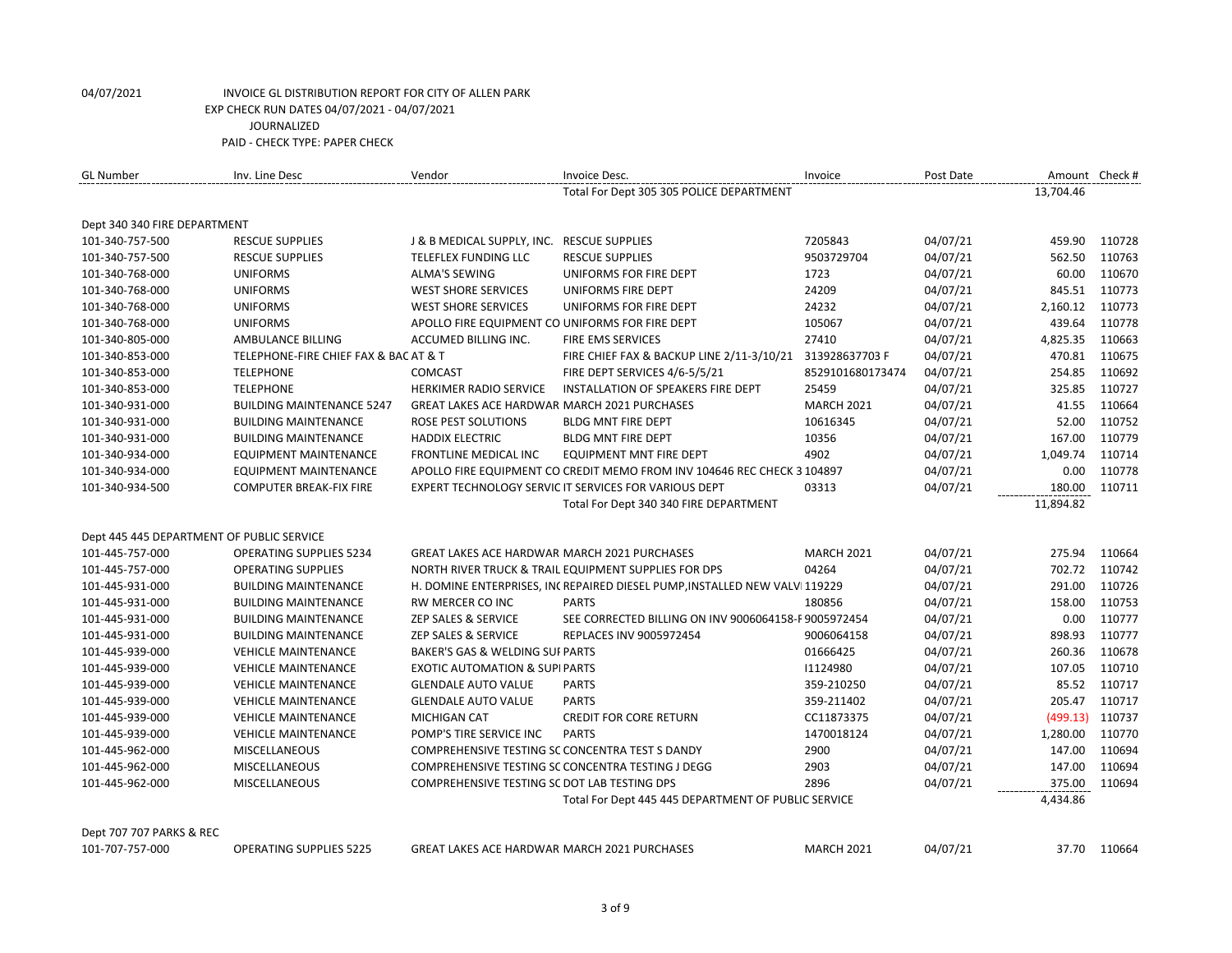| <b>GL Number</b>                          | Inv. Line Desc                        | Vendor                                              | Invoice Desc.                                                              | Invoice           | Post Date |           | Amount Check # |
|-------------------------------------------|---------------------------------------|-----------------------------------------------------|----------------------------------------------------------------------------|-------------------|-----------|-----------|----------------|
|                                           |                                       |                                                     | Total For Dept 305 305 POLICE DEPARTMENT                                   |                   |           | 13.704.46 |                |
| Dept 340 340 FIRE DEPARTMENT              |                                       |                                                     |                                                                            |                   |           |           |                |
| 101-340-757-500                           | <b>RESCUE SUPPLIES</b>                | J & B MEDICAL SUPPLY, INC. RESCUE SUPPLIES          |                                                                            | 7205843           | 04/07/21  | 459.90    | 110728         |
| 101-340-757-500                           | <b>RESCUE SUPPLIES</b>                | TELEFLEX FUNDING LLC                                | <b>RESCUE SUPPLIES</b>                                                     | 9503729704        | 04/07/21  | 562.50    | 110763         |
| 101-340-768-000                           | <b>UNIFORMS</b>                       | <b>ALMA'S SEWING</b>                                | UNIFORMS FOR FIRE DEPT                                                     | 1723              | 04/07/21  | 60.00     | 110670         |
| 101-340-768-000                           | <b>UNIFORMS</b>                       | <b>WEST SHORE SERVICES</b>                          | UNIFORMS FIRE DEPT                                                         | 24209             | 04/07/21  | 845.51    | 110773         |
| 101-340-768-000                           | <b>UNIFORMS</b>                       | <b>WEST SHORE SERVICES</b>                          | UNIFORMS FOR FIRE DEPT                                                     | 24232             | 04/07/21  | 2,160.12  | 110773         |
| 101-340-768-000                           | <b>UNIFORMS</b>                       | APOLLO FIRE EQUIPMENT CO UNIFORMS FOR FIRE DEPT     |                                                                            | 105067            | 04/07/21  | 439.64    | 110778         |
| 101-340-805-000                           | AMBULANCE BILLING                     | ACCUMED BILLING INC.                                | FIRE EMS SERVICES                                                          | 27410             | 04/07/21  | 4,825.35  | 110663         |
| 101-340-853-000                           | TELEPHONE-FIRE CHIEF FAX & BAC AT & T |                                                     | FIRE CHIEF FAX & BACKUP LINE 2/11-3/10/21                                  | 313928637703 F    | 04/07/21  | 470.81    | 110675         |
| 101-340-853-000                           | <b>TELEPHONE</b>                      | <b>COMCAST</b>                                      | FIRE DEPT SERVICES 4/6-5/5/21                                              | 8529101680173474  | 04/07/21  | 254.85    | 110692         |
| 101-340-853-000                           | <b>TELEPHONE</b>                      | HERKIMER RADIO SERVICE                              | INSTALLATION OF SPEAKERS FIRE DEPT                                         | 25459             | 04/07/21  | 325.85    | 110727         |
| 101-340-931-000                           | <b>BUILDING MAINTENANCE 5247</b>      | <b>GREAT LAKES ACE HARDWAR MARCH 2021 PURCHASES</b> |                                                                            | <b>MARCH 2021</b> | 04/07/21  | 41.55     | 110664         |
| 101-340-931-000                           | <b>BUILDING MAINTENANCE</b>           | <b>ROSE PEST SOLUTIONS</b>                          | <b>BLDG MNT FIRE DEPT</b>                                                  | 10616345          | 04/07/21  | 52.00     | 110752         |
| 101-340-931-000                           | <b>BUILDING MAINTENANCE</b>           | <b>HADDIX ELECTRIC</b>                              | <b>BLDG MNT FIRE DEPT</b>                                                  | 10356             | 04/07/21  | 167.00    | 110779         |
| 101-340-934-000                           | <b>EQUIPMENT MAINTENANCE</b>          | <b>FRONTLINE MEDICAL INC</b>                        | <b>EQUIPMENT MNT FIRE DEPT</b>                                             | 4902              | 04/07/21  | 1,049.74  | 110714         |
| 101-340-934-000                           | <b>EQUIPMENT MAINTENANCE</b>          |                                                     | APOLLO FIRE EQUIPMENT CO CREDIT MEMO FROM INV 104646 REC CHECK 3 104897    |                   | 04/07/21  | 0.00      | 110778         |
| 101-340-934-500                           | <b>COMPUTER BREAK-FIX FIRE</b>        |                                                     | EXPERT TECHNOLOGY SERVIC IT SERVICES FOR VARIOUS DEPT                      | 03313             | 04/07/21  | 180.00    | 110711         |
|                                           |                                       |                                                     | Total For Dept 340 340 FIRE DEPARTMENT                                     |                   |           | 11,894.82 |                |
| Dept 445 445 DEPARTMENT OF PUBLIC SERVICE |                                       |                                                     |                                                                            |                   |           |           |                |
| 101-445-757-000                           | <b>OPERATING SUPPLIES 5234</b>        | <b>GREAT LAKES ACE HARDWAR MARCH 2021 PURCHASES</b> |                                                                            | <b>MARCH 2021</b> | 04/07/21  | 275.94    | 110664         |
| 101-445-757-000                           | <b>OPERATING SUPPLIES</b>             |                                                     | NORTH RIVER TRUCK & TRAIL EQUIPMENT SUPPLIES FOR DPS                       | 04264             | 04/07/21  | 702.72    | 110742         |
| 101-445-931-000                           | <b>BUILDING MAINTENANCE</b>           |                                                     | H. DOMINE ENTERPRISES, INCREPAIRED DIESEL PUMP, INSTALLED NEW VALVI 119229 |                   | 04/07/21  | 291.00    | 110726         |
| 101-445-931-000                           | <b>BUILDING MAINTENANCE</b>           | RW MERCER CO INC                                    | <b>PARTS</b>                                                               | 180856            | 04/07/21  | 158.00    | 110753         |
| 101-445-931-000                           | <b>BUILDING MAINTENANCE</b>           | ZEP SALES & SERVICE                                 | SEE CORRECTED BILLING ON INV 9006064158-F 9005972454                       |                   | 04/07/21  | 0.00      | 110777         |
| 101-445-931-000                           | <b>BUILDING MAINTENANCE</b>           | ZEP SALES & SERVICE                                 | REPLACES INV 9005972454                                                    | 9006064158        | 04/07/21  | 898.93    | 110777         |
| 101-445-939-000                           | <b>VEHICLE MAINTENANCE</b>            | BAKER'S GAS & WELDING SUI PARTS                     |                                                                            | 01666425          | 04/07/21  | 260.36    | 110678         |
| 101-445-939-000                           | <b>VEHICLE MAINTENANCE</b>            | <b>EXOTIC AUTOMATION &amp; SUPIPARTS</b>            |                                                                            | 11124980          | 04/07/21  | 107.05    | 110710         |
| 101-445-939-000                           | <b>VEHICLE MAINTENANCE</b>            | <b>GLENDALE AUTO VALUE</b>                          | <b>PARTS</b>                                                               | 359-210250        | 04/07/21  | 85.52     | 110717         |
| 101-445-939-000                           | <b>VEHICLE MAINTENANCE</b>            | <b>GLENDALE AUTO VALUE</b>                          | <b>PARTS</b>                                                               | 359-211402        | 04/07/21  | 205.47    | 110717         |
| 101-445-939-000                           | <b>VEHICLE MAINTENANCE</b>            | <b>MICHIGAN CAT</b>                                 | <b>CREDIT FOR CORE RETURN</b>                                              | CC11873375        | 04/07/21  | (499.13)  | 110737         |
| 101-445-939-000                           | <b>VEHICLE MAINTENANCE</b>            | POMP'S TIRE SERVICE INC                             | <b>PARTS</b>                                                               | 1470018124        | 04/07/21  | 1,280.00  | 110770         |
| 101-445-962-000                           | <b>MISCELLANEOUS</b>                  | COMPREHENSIVE TESTING SC CONCENTRA TEST S DANDY     |                                                                            | 2900              | 04/07/21  | 147.00    | 110694         |
| 101-445-962-000                           | <b>MISCELLANEOUS</b>                  |                                                     | COMPREHENSIVE TESTING SC CONCENTRA TESTING J DEGG                          | 2903              | 04/07/21  | 147.00    | 110694         |
| 101-445-962-000                           | <b>MISCELLANEOUS</b>                  | COMPREHENSIVE TESTING SC DOT LAB TESTING DPS        |                                                                            | 2896              | 04/07/21  | 375.00    | 110694         |
|                                           |                                       |                                                     | Total For Dept 445 445 DEPARTMENT OF PUBLIC SERVICE                        |                   |           | 4,434.86  |                |
| Dept 707 707 PARKS & REC                  |                                       |                                                     |                                                                            |                   |           |           |                |

101-707-757-000 OPERATING SUPPLIES 5225 GREAT LAKES ACE HARDWAREMARCH 2021 PURCHASES MARCH 2021 04/07/21 37.70 110664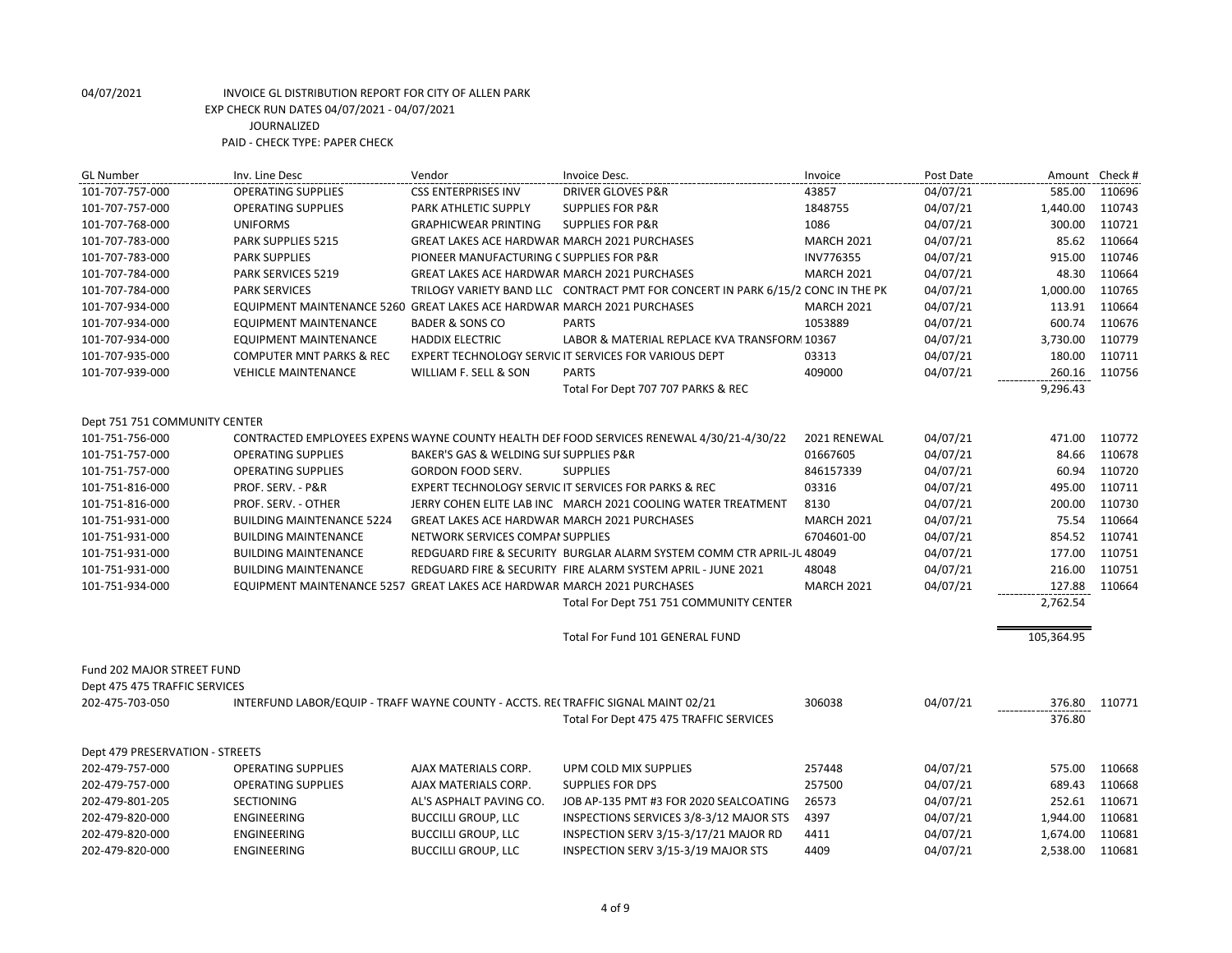| <b>GL Number</b>                | Inv. Line Desc                                                                    | Vendor                                              | Invoice Desc.                                                                             | Invoice           | Post Date | Amount Check # |        |
|---------------------------------|-----------------------------------------------------------------------------------|-----------------------------------------------------|-------------------------------------------------------------------------------------------|-------------------|-----------|----------------|--------|
| 101-707-757-000                 | <b>OPERATING SUPPLIES</b>                                                         | <b>CSS ENTERPRISES INV</b>                          | <b>DRIVER GLOVES P&amp;R</b>                                                              | 43857             | 04/07/21  | 585.00         | 110696 |
| 101-707-757-000                 | <b>OPERATING SUPPLIES</b>                                                         | PARK ATHLETIC SUPPLY                                | <b>SUPPLIES FOR P&amp;R</b>                                                               | 1848755           | 04/07/21  | 1,440.00       | 110743 |
| 101-707-768-000                 | <b>UNIFORMS</b>                                                                   | <b>GRAPHICWEAR PRINTING</b>                         | <b>SUPPLIES FOR P&amp;R</b>                                                               | 1086              | 04/07/21  | 300.00         | 110721 |
| 101-707-783-000                 | PARK SUPPLIES 5215                                                                | GREAT LAKES ACE HARDWAR MARCH 2021 PURCHASES        |                                                                                           | <b>MARCH 2021</b> | 04/07/21  | 85.62          | 110664 |
| 101-707-783-000                 | <b>PARK SUPPLIES</b>                                                              | PIONEER MANUFACTURING C SUPPLIES FOR P&R            |                                                                                           | INV776355         | 04/07/21  | 915.00         | 110746 |
| 101-707-784-000                 | <b>PARK SERVICES 5219</b>                                                         | <b>GREAT LAKES ACE HARDWAR MARCH 2021 PURCHASES</b> |                                                                                           | <b>MARCH 2021</b> | 04/07/21  | 48.30          | 110664 |
| 101-707-784-000                 | <b>PARK SERVICES</b>                                                              |                                                     | TRILOGY VARIETY BAND LLC CONTRACT PMT FOR CONCERT IN PARK 6/15/2 CONC IN THE PK           |                   | 04/07/21  | 1,000.00       | 110765 |
| 101-707-934-000                 | EQUIPMENT MAINTENANCE 5260 GREAT LAKES ACE HARDWAR MARCH 2021 PURCHASES           |                                                     |                                                                                           | <b>MARCH 2021</b> | 04/07/21  | 113.91         | 110664 |
| 101-707-934-000                 | <b>EQUIPMENT MAINTENANCE</b>                                                      | <b>BADER &amp; SONS CO</b>                          | <b>PARTS</b>                                                                              | 1053889           | 04/07/21  | 600.74         | 110676 |
| 101-707-934-000                 | <b>EQUIPMENT MAINTENANCE</b>                                                      | <b>HADDIX ELECTRIC</b>                              | LABOR & MATERIAL REPLACE KVA TRANSFORM 10367                                              |                   | 04/07/21  | 3,730.00       | 110779 |
| 101-707-935-000                 | <b>COMPUTER MNT PARKS &amp; REC</b>                                               |                                                     | EXPERT TECHNOLOGY SERVIC IT SERVICES FOR VARIOUS DEPT                                     | 03313             | 04/07/21  | 180.00         | 110711 |
| 101-707-939-000                 | <b>VEHICLE MAINTENANCE</b>                                                        | WILLIAM F. SELL & SON                               | <b>PARTS</b>                                                                              | 409000            | 04/07/21  | 260.16         | 110756 |
|                                 |                                                                                   |                                                     | Total For Dept 707 707 PARKS & REC                                                        |                   |           | 9,296.43       |        |
| Dept 751 751 COMMUNITY CENTER   |                                                                                   |                                                     |                                                                                           |                   |           |                |        |
| 101-751-756-000                 |                                                                                   |                                                     | CONTRACTED EMPLOYEES EXPENS WAYNE COUNTY HEALTH DEF FOOD SERVICES RENEWAL 4/30/21-4/30/22 | 2021 RENEWAL      | 04/07/21  | 471.00         | 110772 |
| 101-751-757-000                 | <b>OPERATING SUPPLIES</b>                                                         | BAKER'S GAS & WELDING SUI SUPPLIES P&R              |                                                                                           | 01667605          | 04/07/21  | 84.66          | 110678 |
| 101-751-757-000                 | <b>OPERATING SUPPLIES</b>                                                         | <b>GORDON FOOD SERV.</b>                            | <b>SUPPLIES</b>                                                                           | 846157339         | 04/07/21  | 60.94          | 110720 |
| 101-751-816-000                 | PROF. SERV. - P&R                                                                 |                                                     | <b>EXPERT TECHNOLOGY SERVIC IT SERVICES FOR PARKS &amp; REC</b>                           | 03316             | 04/07/21  | 495.00         | 110711 |
| 101-751-816-000                 | PROF. SERV. - OTHER                                                               |                                                     | JERRY COHEN ELITE LAB INC MARCH 2021 COOLING WATER TREATMENT                              | 8130              | 04/07/21  | 200.00         | 110730 |
| 101-751-931-000                 | <b>BUILDING MAINTENANCE 5224</b>                                                  | <b>GREAT LAKES ACE HARDWAR MARCH 2021 PURCHASES</b> |                                                                                           | <b>MARCH 2021</b> | 04/07/21  | 75.54          | 110664 |
| 101-751-931-000                 | <b>BUILDING MAINTENANCE</b>                                                       | NETWORK SERVICES COMPAI SUPPLIES                    |                                                                                           | 6704601-00        | 04/07/21  | 854.52         | 110741 |
| 101-751-931-000                 | <b>BUILDING MAINTENANCE</b>                                                       |                                                     | REDGUARD FIRE & SECURITY BURGLAR ALARM SYSTEM COMM CTR APRIL-JU 48049                     |                   | 04/07/21  | 177.00         | 110751 |
| 101-751-931-000                 | <b>BUILDING MAINTENANCE</b>                                                       |                                                     | REDGUARD FIRE & SECURITY FIRE ALARM SYSTEM APRIL - JUNE 2021                              | 48048             | 04/07/21  | 216.00         | 110751 |
| 101-751-934-000                 | EQUIPMENT MAINTENANCE 5257 GREAT LAKES ACE HARDWAR MARCH 2021 PURCHASES           |                                                     |                                                                                           | <b>MARCH 2021</b> | 04/07/21  | 127.88         | 110664 |
|                                 |                                                                                   |                                                     | Total For Dept 751 751 COMMUNITY CENTER                                                   |                   |           | 2,762.54       |        |
|                                 |                                                                                   |                                                     |                                                                                           |                   |           |                |        |
|                                 |                                                                                   |                                                     | Total For Fund 101 GENERAL FUND                                                           |                   |           | 105,364.95     |        |
| Fund 202 MAJOR STREET FUND      |                                                                                   |                                                     |                                                                                           |                   |           |                |        |
| Dept 475 475 TRAFFIC SERVICES   |                                                                                   |                                                     |                                                                                           |                   |           |                |        |
| 202-475-703-050                 | INTERFUND LABOR/EQUIP - TRAFF WAYNE COUNTY - ACCTS. RE(TRAFFIC SIGNAL MAINT 02/21 |                                                     |                                                                                           | 306038            | 04/07/21  | 376.80         | 110771 |
|                                 |                                                                                   |                                                     | Total For Dept 475 475 TRAFFIC SERVICES                                                   |                   |           | 376.80         |        |
| Dept 479 PRESERVATION - STREETS |                                                                                   |                                                     |                                                                                           |                   |           |                |        |
| 202-479-757-000                 | <b>OPERATING SUPPLIES</b>                                                         | AJAX MATERIALS CORP.                                | UPM COLD MIX SUPPLIES                                                                     | 257448            | 04/07/21  | 575.00         | 110668 |
| 202-479-757-000                 | <b>OPERATING SUPPLIES</b>                                                         | AJAX MATERIALS CORP.                                | <b>SUPPLIES FOR DPS</b>                                                                   | 257500            | 04/07/21  | 689.43         | 110668 |
| 202-479-801-205                 | <b>SECTIONING</b>                                                                 | AL'S ASPHALT PAVING CO.                             | JOB AP-135 PMT #3 FOR 2020 SEALCOATING                                                    | 26573             | 04/07/21  | 252.61         | 110671 |
| 202-479-820-000                 | <b>ENGINEERING</b>                                                                | <b>BUCCILLI GROUP, LLC</b>                          | INSPECTIONS SERVICES 3/8-3/12 MAJOR STS                                                   | 4397              | 04/07/21  | 1,944.00       | 110681 |
| 202-479-820-000                 | <b>ENGINEERING</b>                                                                | <b>BUCCILLI GROUP, LLC</b>                          | INSPECTION SERV 3/15-3/17/21 MAJOR RD                                                     | 4411              | 04/07/21  | 1,674.00       | 110681 |
| 202-479-820-000                 | <b>ENGINEERING</b>                                                                | <b>BUCCILLI GROUP, LLC</b>                          | INSPECTION SERV 3/15-3/19 MAJOR STS                                                       | 4409              | 04/07/21  | 2,538.00       | 110681 |
|                                 |                                                                                   |                                                     |                                                                                           |                   |           |                |        |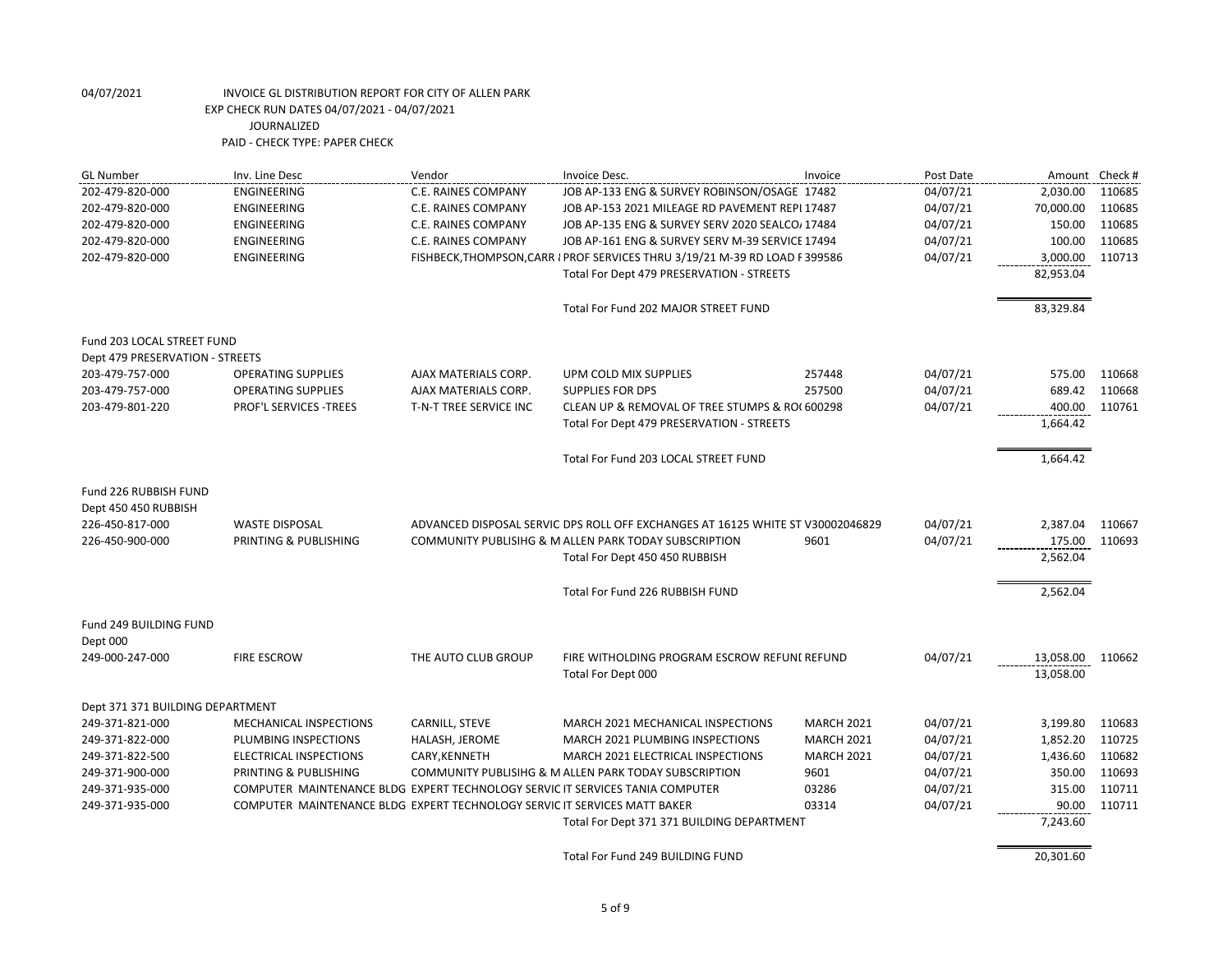| <b>GL Number</b>                              | Inv. Line Desc                                                                | Vendor                     | Invoice Desc.                                                                  | Invoice           | Post Date | Amount Check # |        |
|-----------------------------------------------|-------------------------------------------------------------------------------|----------------------------|--------------------------------------------------------------------------------|-------------------|-----------|----------------|--------|
| 202-479-820-000                               | <b>ENGINEERING</b>                                                            | <b>C.E. RAINES COMPANY</b> | JOB AP-133 ENG & SURVEY ROBINSON/OSAGE 17482                                   |                   | 04/07/21  | 2,030.00       | 110685 |
| 202-479-820-000                               | <b>ENGINEERING</b>                                                            | <b>C.E. RAINES COMPANY</b> | JOB AP-153 2021 MILEAGE RD PAVEMENT REPL17487                                  |                   | 04/07/21  | 70,000.00      | 110685 |
| 202-479-820-000                               | ENGINEERING                                                                   | C.E. RAINES COMPANY        | JOB AP-135 ENG & SURVEY SERV 2020 SEALCO/ 17484                                |                   | 04/07/21  | 150.00         | 110685 |
| 202-479-820-000                               | ENGINEERING                                                                   | <b>C.E. RAINES COMPANY</b> | JOB AP-161 ENG & SURVEY SERV M-39 SERVICE 17494                                |                   | 04/07/21  | 100.00         | 110685 |
| 202-479-820-000                               | <b>ENGINEERING</b>                                                            |                            | FISHBECK, THOMPSON, CARR I PROF SERVICES THRU 3/19/21 M-39 RD LOAD F399586     |                   | 04/07/21  | 3,000.00       | 110713 |
|                                               |                                                                               |                            | Total For Dept 479 PRESERVATION - STREETS                                      |                   |           | 82,953.04      |        |
|                                               |                                                                               |                            | Total For Fund 202 MAJOR STREET FUND                                           |                   |           | 83,329.84      |        |
| Fund 203 LOCAL STREET FUND                    |                                                                               |                            |                                                                                |                   |           |                |        |
| Dept 479 PRESERVATION - STREETS               |                                                                               |                            |                                                                                |                   |           |                |        |
| 203-479-757-000                               | <b>OPERATING SUPPLIES</b>                                                     | AJAX MATERIALS CORP.       | UPM COLD MIX SUPPLIES                                                          | 257448            | 04/07/21  | 575.00         | 110668 |
| 203-479-757-000                               | <b>OPERATING SUPPLIES</b>                                                     | AJAX MATERIALS CORP.       | <b>SUPPLIES FOR DPS</b>                                                        | 257500            | 04/07/21  | 689.42         | 110668 |
| 203-479-801-220                               | PROF'L SERVICES -TREES                                                        | T-N-T TREE SERVICE INC     | CLEAN UP & REMOVAL OF TREE STUMPS & RO(600298                                  |                   | 04/07/21  | 400.00         | 110761 |
|                                               |                                                                               |                            | Total For Dept 479 PRESERVATION - STREETS                                      |                   |           | 1,664.42       |        |
|                                               |                                                                               |                            | Total For Fund 203 LOCAL STREET FUND                                           |                   |           | 1,664.42       |        |
| Fund 226 RUBBISH FUND<br>Dept 450 450 RUBBISH |                                                                               |                            |                                                                                |                   |           |                |        |
| 226-450-817-000                               | <b>WASTE DISPOSAL</b>                                                         |                            | ADVANCED DISPOSAL SERVIC DPS ROLL OFF EXCHANGES AT 16125 WHITE ST V30002046829 |                   | 04/07/21  | 2,387.04       | 110667 |
| 226-450-900-000                               | PRINTING & PUBLISHING                                                         |                            | COMMUNITY PUBLISIHG & M ALLEN PARK TODAY SUBSCRIPTION                          | 9601              | 04/07/21  | 175.00         | 110693 |
|                                               |                                                                               |                            | Total For Dept 450 450 RUBBISH                                                 |                   |           | 2,562.04       |        |
|                                               |                                                                               |                            | Total For Fund 226 RUBBISH FUND                                                |                   |           | 2,562.04       |        |
| Fund 249 BUILDING FUND                        |                                                                               |                            |                                                                                |                   |           |                |        |
| Dept 000                                      |                                                                               |                            |                                                                                |                   |           |                |        |
| 249-000-247-000                               | <b>FIRE ESCROW</b>                                                            | THE AUTO CLUB GROUP        | FIRE WITHOLDING PROGRAM ESCROW REFUNE REFUND                                   |                   | 04/07/21  | 13,058.00      | 110662 |
|                                               |                                                                               |                            | Total For Dept 000                                                             |                   |           | 13,058.00      |        |
| Dept 371 371 BUILDING DEPARTMENT              |                                                                               |                            |                                                                                |                   |           |                |        |
| 249-371-821-000                               | MECHANICAL INSPECTIONS                                                        | CARNILL, STEVE             | MARCH 2021 MECHANICAL INSPECTIONS                                              | <b>MARCH 2021</b> | 04/07/21  | 3,199.80       | 110683 |
| 249-371-822-000                               | PLUMBING INSPECTIONS                                                          | HALASH, JEROME             | MARCH 2021 PLUMBING INSPECTIONS                                                | <b>MARCH 2021</b> | 04/07/21  | 1,852.20       | 110725 |
| 249-371-822-500                               | ELECTRICAL INSPECTIONS                                                        | CARY, KENNETH              | MARCH 2021 ELECTRICAL INSPECTIONS                                              | <b>MARCH 2021</b> | 04/07/21  | 1,436.60       | 110682 |
| 249-371-900-000                               | PRINTING & PUBLISHING                                                         |                            | COMMUNITY PUBLISIHG & M ALLEN PARK TODAY SUBSCRIPTION                          | 9601              | 04/07/21  | 350.00         | 110693 |
| 249-371-935-000                               | COMPUTER MAINTENANCE BLDG EXPERT TECHNOLOGY SERVIC IT SERVICES TANIA COMPUTER |                            |                                                                                | 03286             | 04/07/21  | 315.00         | 110711 |
| 249-371-935-000                               | COMPUTER MAINTENANCE BLDG EXPERT TECHNOLOGY SERVIC IT SERVICES MATT BAKER     |                            |                                                                                | 03314             | 04/07/21  | 90.00          | 110711 |
|                                               |                                                                               |                            | Total For Dept 371 371 BUILDING DEPARTMENT                                     |                   |           | 7,243.60       |        |
|                                               |                                                                               |                            | Total For Fund 249 BUILDING FUND                                               |                   |           | 20,301.60      |        |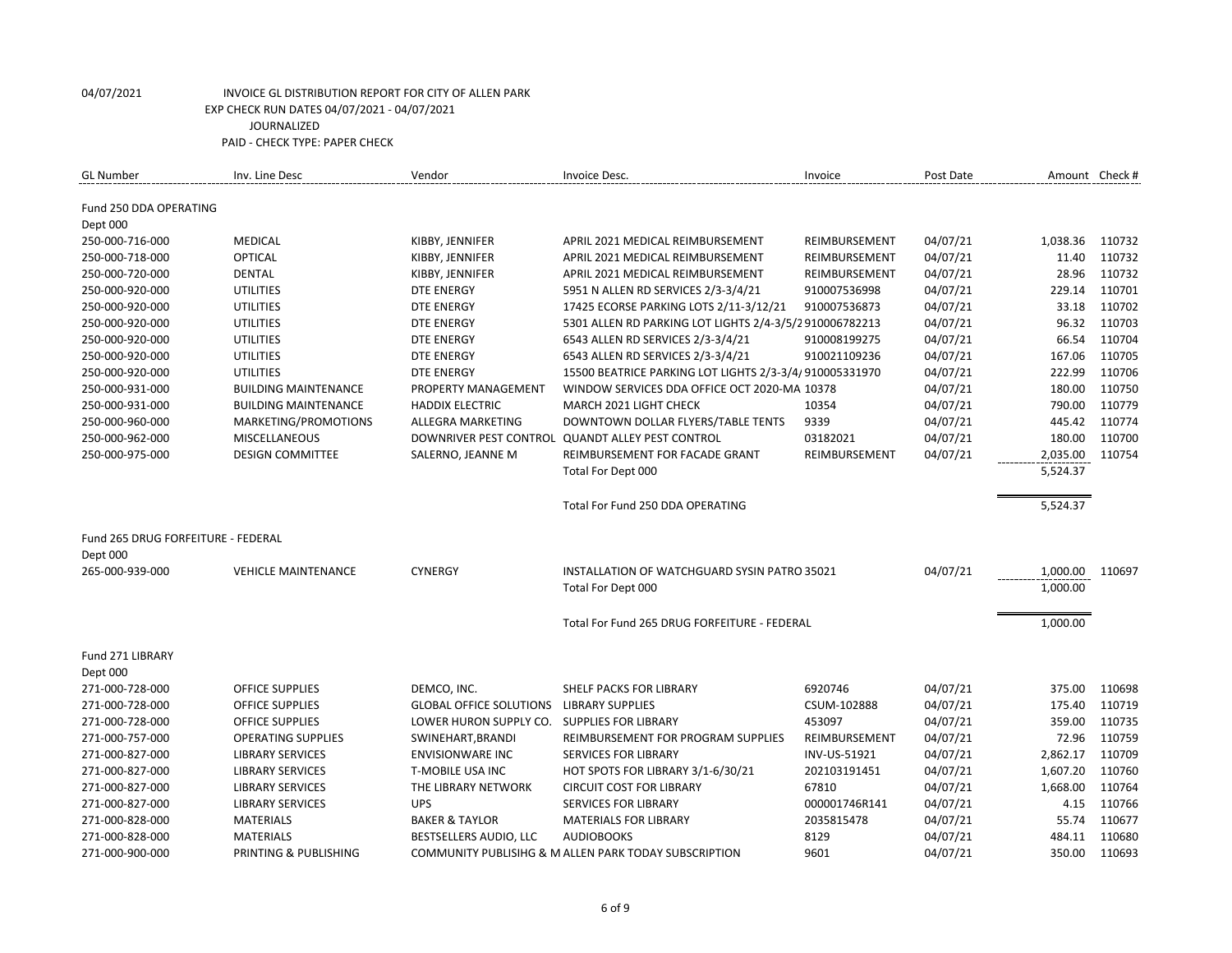| Fund 250 DDA OPERATING                                                                                                               |          |        |
|--------------------------------------------------------------------------------------------------------------------------------------|----------|--------|
|                                                                                                                                      |          |        |
| Dept 000                                                                                                                             |          |        |
| 250-000-716-000<br><b>MEDICAL</b><br>KIBBY, JENNIFER<br>04/07/21<br>APRIL 2021 MEDICAL REIMBURSEMENT<br>REIMBURSEMENT                | 1,038.36 | 110732 |
| <b>OPTICAL</b><br>250-000-718-000<br>KIBBY, JENNIFER<br>04/07/21<br>APRIL 2021 MEDICAL REIMBURSEMENT<br>REIMBURSEMENT                | 11.40    | 110732 |
| 04/07/21<br>250-000-720-000<br><b>DENTAL</b><br>KIBBY, JENNIFER<br>APRIL 2021 MEDICAL REIMBURSEMENT<br>REIMBURSEMENT                 | 28.96    | 110732 |
| <b>UTILITIES</b><br><b>DTE ENERGY</b><br>5951 N ALLEN RD SERVICES 2/3-3/4/21<br>910007536998<br>04/07/21<br>250-000-920-000          | 229.14   | 110701 |
| <b>UTILITIES</b><br><b>DTE ENERGY</b><br>910007536873<br>04/07/21<br>250-000-920-000<br>17425 ECORSE PARKING LOTS 2/11-3/12/21       | 33.18    | 110702 |
| 04/07/21<br>250-000-920-000<br><b>UTILITIES</b><br><b>DTE ENERGY</b><br>5301 ALLEN RD PARKING LOT LIGHTS 2/4-3/5/2910006782213       | 96.32    | 110703 |
| 04/07/21<br>250-000-920-000<br><b>UTILITIES</b><br><b>DTE ENERGY</b><br>6543 ALLEN RD SERVICES 2/3-3/4/21<br>910008199275            | 66.54    | 110704 |
| <b>UTILITIES</b><br><b>DTE ENERGY</b><br>6543 ALLEN RD SERVICES 2/3-3/4/21<br>04/07/21<br>250-000-920-000<br>910021109236            | 167.06   | 110705 |
| 250-000-920-000<br><b>UTILITIES</b><br><b>DTE ENERGY</b><br>15500 BEATRICE PARKING LOT LIGHTS 2/3-3/4/910005331970<br>04/07/21       | 222.99   | 110706 |
| 250-000-931-000<br><b>BUILDING MAINTENANCE</b><br>WINDOW SERVICES DDA OFFICE OCT 2020-MAI 10378<br>04/07/21<br>PROPERTY MANAGEMENT   | 180.00   | 110750 |
| 10354<br>04/07/21<br>250-000-931-000<br><b>BUILDING MAINTENANCE</b><br><b>HADDIX ELECTRIC</b><br>MARCH 2021 LIGHT CHECK              | 790.00   | 110779 |
| 9339<br>04/07/21<br>250-000-960-000<br>MARKETING/PROMOTIONS<br>DOWNTOWN DOLLAR FLYERS/TABLE TENTS<br>ALLEGRA MARKETING               | 445.42   | 110774 |
| DOWNRIVER PEST CONTROL QUANDT ALLEY PEST CONTROL<br>03182021<br>04/07/21<br>250-000-962-000<br><b>MISCELLANEOUS</b>                  | 180.00   | 110700 |
| <b>DESIGN COMMITTEE</b><br>04/07/21<br>250-000-975-000<br>SALERNO, JEANNE M<br>REIMBURSEMENT FOR FACADE GRANT<br>REIMBURSEMENT       | 2,035.00 | 110754 |
| Total For Dept 000                                                                                                                   | 5,524.37 |        |
|                                                                                                                                      |          |        |
| Total For Fund 250 DDA OPERATING                                                                                                     | 5,524.37 |        |
| Fund 265 DRUG FORFEITURE - FEDERAL                                                                                                   |          |        |
| Dept 000                                                                                                                             |          |        |
| 265-000-939-000<br><b>VEHICLE MAINTENANCE</b><br><b>CYNERGY</b><br>04/07/21<br>INSTALLATION OF WATCHGUARD SYSIN PATRO 35021          | 1,000.00 | 110697 |
| Total For Dept 000                                                                                                                   | 1,000.00 |        |
|                                                                                                                                      |          |        |
| Total For Fund 265 DRUG FORFEITURE - FEDERAL                                                                                         | 1,000.00 |        |
|                                                                                                                                      |          |        |
| Fund 271 LIBRARY                                                                                                                     |          |        |
| Dept 000                                                                                                                             |          |        |
| 6920746<br>04/07/21<br>271-000-728-000<br><b>OFFICE SUPPLIES</b><br>DEMCO, INC.<br>SHELF PACKS FOR LIBRARY                           | 375.00   | 110698 |
| 04/07/21<br>271-000-728-000<br><b>OFFICE SUPPLIES</b><br><b>GLOBAL OFFICE SOLUTIONS</b><br><b>LIBRARY SUPPLIES</b><br>CSUM-102888    | 175.40   | 110719 |
| 271-000-728-000<br><b>OFFICE SUPPLIES</b><br>LOWER HURON SUPPLY CO.<br><b>SUPPLIES FOR LIBRARY</b><br>453097<br>04/07/21             | 359.00   | 110735 |
| 04/07/21<br>271-000-757-000<br><b>OPERATING SUPPLIES</b><br>SWINEHART, BRANDI<br>REIMBURSEMENT FOR PROGRAM SUPPLIES<br>REIMBURSEMENT | 72.96    | 110759 |
| 271-000-827-000<br><b>LIBRARY SERVICES</b><br><b>ENVISIONWARE INC</b><br><b>SERVICES FOR LIBRARY</b><br>INV-US-51921<br>04/07/21     | 2,862.17 | 110709 |
| 04/07/21<br>271-000-827-000<br><b>LIBRARY SERVICES</b><br>T-MOBILE USA INC<br>HOT SPOTS FOR LIBRARY 3/1-6/30/21<br>202103191451      | 1,607.20 | 110760 |
| 271-000-827-000<br>67810<br>04/07/21<br><b>LIBRARY SERVICES</b><br>THE LIBRARY NETWORK<br><b>CIRCUIT COST FOR LIBRARY</b>            | 1,668.00 | 110764 |
| 271-000-827-000<br><b>LIBRARY SERVICES</b><br><b>UPS</b><br><b>SERVICES FOR LIBRARY</b><br>000001746R141<br>04/07/21                 | 4.15     | 110766 |
| <b>MATERIALS</b><br><b>BAKER &amp; TAYLOR</b><br>04/07/21<br>271-000-828-000<br><b>MATERIALS FOR LIBRARY</b><br>2035815478           | 55.74    | 110677 |
| 271-000-828-000<br><b>MATERIALS</b><br>BESTSELLERS AUDIO, LLC<br><b>AUDIOBOOKS</b><br>8129<br>04/07/21                               | 484.11   | 110680 |
| 271-000-900-000<br>PRINTING & PUBLISHING<br>COMMUNITY PUBLISIHG & M ALLEN PARK TODAY SUBSCRIPTION<br>9601<br>04/07/21                | 350.00   | 110693 |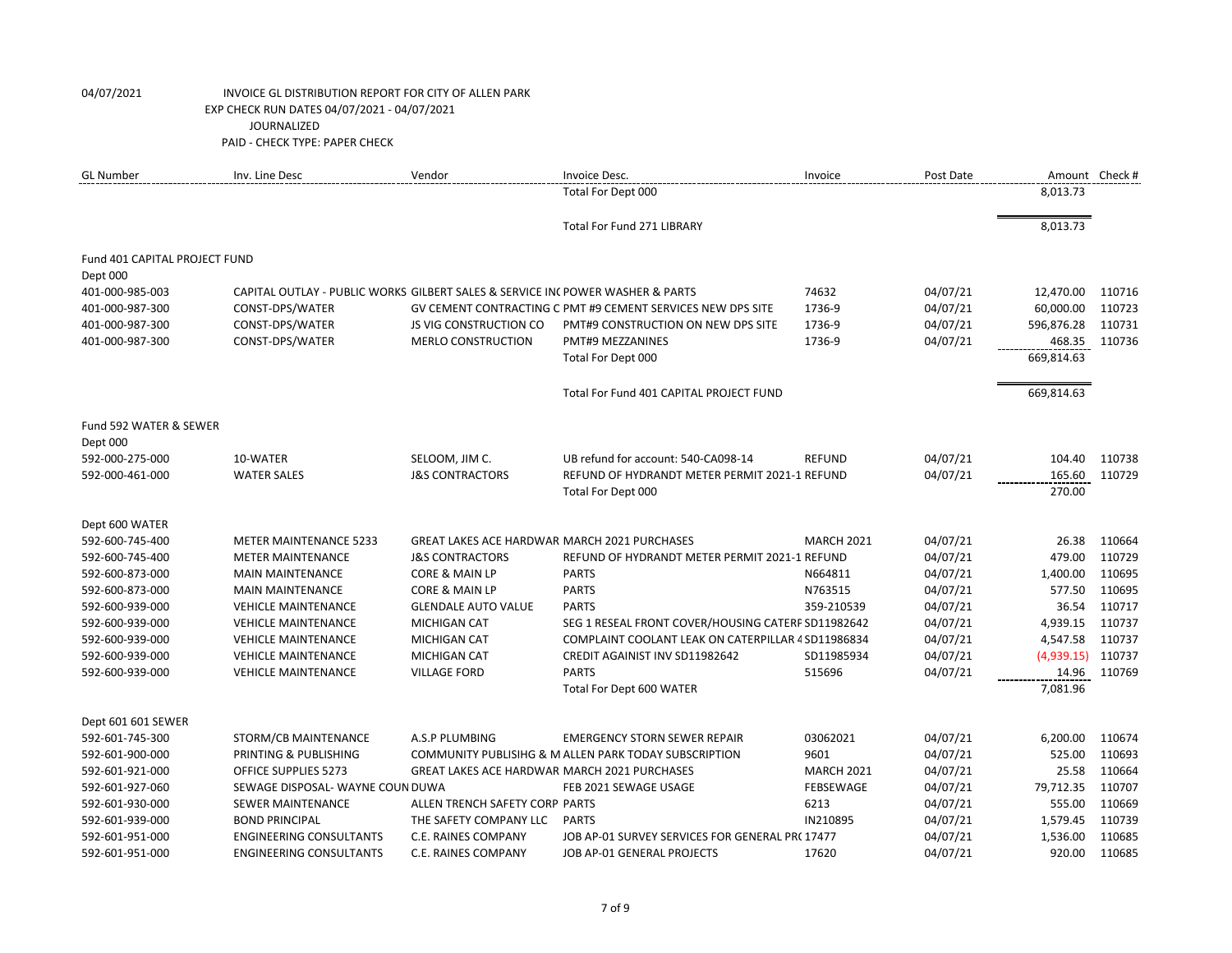| <b>GL Number</b>              | Inv. Line Desc                                                                 | Vendor                                              | Invoice Desc.                                               | Invoice           | Post Date |            | Amount Check # |
|-------------------------------|--------------------------------------------------------------------------------|-----------------------------------------------------|-------------------------------------------------------------|-------------------|-----------|------------|----------------|
|                               |                                                                                |                                                     | Total For Dept 000                                          |                   |           | 8,013.73   |                |
|                               |                                                                                |                                                     | Total For Fund 271 LIBRARY                                  |                   |           | 8,013.73   |                |
| Fund 401 CAPITAL PROJECT FUND |                                                                                |                                                     |                                                             |                   |           |            |                |
| Dept 000                      |                                                                                |                                                     |                                                             |                   |           |            |                |
| 401-000-985-003               | CAPITAL OUTLAY - PUBLIC WORKS GILBERT SALES & SERVICE INC POWER WASHER & PARTS |                                                     |                                                             | 74632             | 04/07/21  | 12,470.00  | 110716         |
| 401-000-987-300               | CONST-DPS/WATER                                                                |                                                     | GV CEMENT CONTRACTING C PMT #9 CEMENT SERVICES NEW DPS SITE | 1736-9            | 04/07/21  | 60,000.00  | 110723         |
| 401-000-987-300               | CONST-DPS/WATER                                                                | <b>JS VIG CONSTRUCTION CO</b>                       | PMT#9 CONSTRUCTION ON NEW DPS SITE                          | 1736-9            | 04/07/21  | 596,876.28 | 110731         |
| 401-000-987-300               | CONST-DPS/WATER                                                                | <b>MERLO CONSTRUCTION</b>                           | PMT#9 MEZZANINES                                            | 1736-9            | 04/07/21  | 468.35     | 110736         |
|                               |                                                                                |                                                     | Total For Dept 000                                          |                   |           | 669,814.63 |                |
|                               |                                                                                |                                                     | Total For Fund 401 CAPITAL PROJECT FUND                     |                   |           | 669,814.63 |                |
| Fund 592 WATER & SEWER        |                                                                                |                                                     |                                                             |                   |           |            |                |
| Dept 000                      |                                                                                |                                                     |                                                             |                   |           |            |                |
| 592-000-275-000               | 10-WATER                                                                       | SELOOM, JIM C.                                      | UB refund for account: 540-CA098-14                         | <b>REFUND</b>     | 04/07/21  | 104.40     | 110738         |
| 592-000-461-000               | <b>WATER SALES</b>                                                             | <b>J&amp;S CONTRACTORS</b>                          | REFUND OF HYDRANDT METER PERMIT 2021-1 REFUND               |                   | 04/07/21  | 165.60     | 110729         |
|                               |                                                                                |                                                     | Total For Dept 000                                          |                   |           | 270.00     |                |
| Dept 600 WATER                |                                                                                |                                                     |                                                             |                   |           |            |                |
| 592-600-745-400               | <b>METER MAINTENANCE 5233</b>                                                  | <b>GREAT LAKES ACE HARDWAR MARCH 2021 PURCHASES</b> |                                                             | <b>MARCH 2021</b> | 04/07/21  | 26.38      | 110664         |
| 592-600-745-400               | <b>METER MAINTENANCE</b>                                                       | <b>J&amp;S CONTRACTORS</b>                          | REFUND OF HYDRANDT METER PERMIT 2021-1 REFUND               |                   | 04/07/21  | 479.00     | 110729         |
| 592-600-873-000               | <b>MAIN MAINTENANCE</b>                                                        | CORE & MAIN LP                                      | <b>PARTS</b>                                                | N664811           | 04/07/21  | 1,400.00   | 110695         |
| 592-600-873-000               | <b>MAIN MAINTENANCE</b>                                                        | <b>CORE &amp; MAIN LP</b>                           | <b>PARTS</b>                                                | N763515           | 04/07/21  | 577.50     | 110695         |
| 592-600-939-000               | <b>VEHICLE MAINTENANCE</b>                                                     | <b>GLENDALE AUTO VALUE</b>                          | <b>PARTS</b>                                                | 359-210539        | 04/07/21  | 36.54      | 110717         |
| 592-600-939-000               | <b>VEHICLE MAINTENANCE</b>                                                     | <b>MICHIGAN CAT</b>                                 | SEG 1 RESEAL FRONT COVER/HOUSING CATERP SD11982642          |                   | 04/07/21  | 4,939.15   | 110737         |
| 592-600-939-000               | <b>VEHICLE MAINTENANCE</b>                                                     | <b>MICHIGAN CAT</b>                                 | COMPLAINT COOLANT LEAK ON CATERPILLAR 4 SD11986834          |                   | 04/07/21  | 4,547.58   | 110737         |
| 592-600-939-000               | <b>VEHICLE MAINTENANCE</b>                                                     | <b>MICHIGAN CAT</b>                                 | CREDIT AGAINIST INV SD11982642                              | SD11985934        | 04/07/21  | (4,939.15) | 110737         |
| 592-600-939-000               | <b>VEHICLE MAINTENANCE</b>                                                     | <b>VILLAGE FORD</b>                                 | <b>PARTS</b>                                                | 515696            | 04/07/21  | 14.96      | 110769         |
|                               |                                                                                |                                                     | Total For Dept 600 WATER                                    |                   |           | 7,081.96   |                |
| Dept 601 601 SEWER            |                                                                                |                                                     |                                                             |                   |           |            |                |
| 592-601-745-300               | STORM/CB MAINTENANCE                                                           | A.S.P PLUMBING                                      | <b>EMERGENCY STORN SEWER REPAIR</b>                         | 03062021          | 04/07/21  | 6,200.00   | 110674         |
| 592-601-900-000               | PRINTING & PUBLISHING                                                          |                                                     | COMMUNITY PUBLISIHG & M ALLEN PARK TODAY SUBSCRIPTION       | 9601              | 04/07/21  | 525.00     | 110693         |
| 592-601-921-000               | OFFICE SUPPLIES 5273                                                           | <b>GREAT LAKES ACE HARDWAR MARCH 2021 PURCHASES</b> |                                                             | <b>MARCH 2021</b> | 04/07/21  | 25.58      | 110664         |
| 592-601-927-060               | SEWAGE DISPOSAL-WAYNE COUN DUWA                                                |                                                     | FEB 2021 SEWAGE USAGE                                       | <b>FEBSEWAGE</b>  | 04/07/21  | 79,712.35  | 110707         |
| 592-601-930-000               | <b>SEWER MAINTENANCE</b>                                                       | ALLEN TRENCH SAFETY CORP PARTS                      |                                                             | 6213              | 04/07/21  | 555.00     | 110669         |
| 592-601-939-000               | <b>BOND PRINCIPAL</b>                                                          | THE SAFETY COMPANY LLC                              | <b>PARTS</b>                                                | IN210895          | 04/07/21  | 1,579.45   | 110739         |
| 592-601-951-000               | <b>ENGINEERING CONSULTANTS</b>                                                 | C.E. RAINES COMPANY                                 | JOB AP-01 SURVEY SERVICES FOR GENERAL PR(17477              |                   | 04/07/21  | 1,536.00   | 110685         |
| 592-601-951-000               | <b>ENGINEERING CONSULTANTS</b>                                                 | C.E. RAINES COMPANY                                 | JOB AP-01 GENERAL PROJECTS                                  | 17620             | 04/07/21  | 920.00     | 110685         |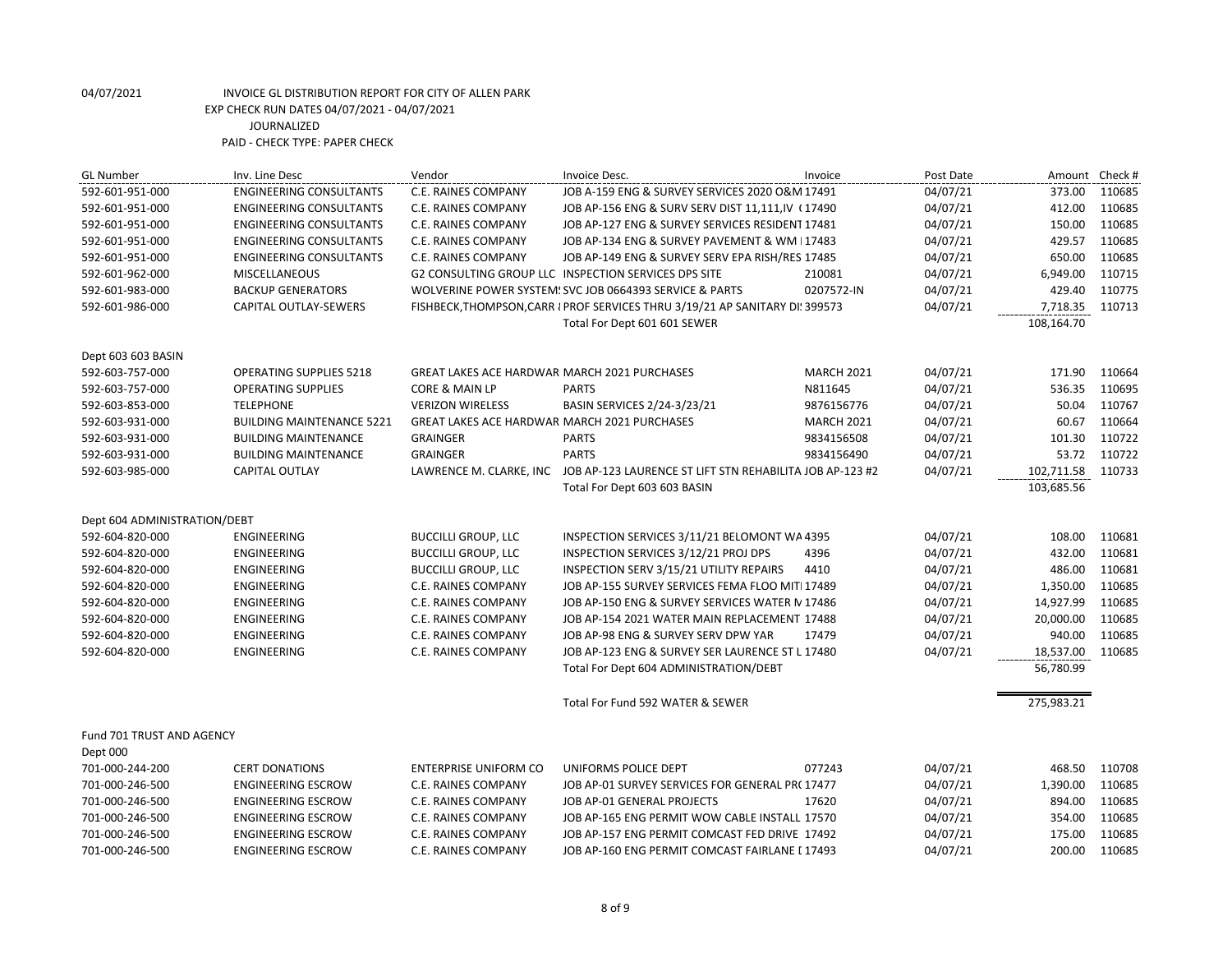| <b>GL Number</b>             | Inv. Line Desc                   | Vendor                                              | Invoice Desc.                                                                    | Invoice           | Post Date | Amount Check # |        |
|------------------------------|----------------------------------|-----------------------------------------------------|----------------------------------------------------------------------------------|-------------------|-----------|----------------|--------|
| 592-601-951-000              | <b>ENGINEERING CONSULTANTS</b>   | C.E. RAINES COMPANY                                 | JOB A-159 ENG & SURVEY SERVICES 2020 O&M 17491                                   |                   | 04/07/21  | 373.00         | 110685 |
| 592-601-951-000              | <b>ENGINEERING CONSULTANTS</b>   | C.E. RAINES COMPANY                                 | JOB AP-156 ENG & SURV SERV DIST 11,111,IV (17490                                 |                   | 04/07/21  | 412.00         | 110685 |
| 592-601-951-000              | <b>ENGINEERING CONSULTANTS</b>   | <b>C.E. RAINES COMPANY</b>                          | JOB AP-127 ENG & SURVEY SERVICES RESIDENT 17481                                  |                   | 04/07/21  | 150.00         | 110685 |
| 592-601-951-000              | <b>ENGINEERING CONSULTANTS</b>   | C.E. RAINES COMPANY                                 | JOB AP-134 ENG & SURVEY PAVEMENT & WM I17483                                     |                   | 04/07/21  | 429.57         | 110685 |
| 592-601-951-000              | <b>ENGINEERING CONSULTANTS</b>   | C.E. RAINES COMPANY                                 | JOB AP-149 ENG & SURVEY SERV EPA RISH/RES 17485                                  |                   | 04/07/21  | 650.00         | 110685 |
| 592-601-962-000              | <b>MISCELLANEOUS</b>             |                                                     | <b>G2 CONSULTING GROUP LLC INSPECTION SERVICES DPS SITE</b>                      | 210081            | 04/07/21  | 6,949.00       | 110715 |
| 592-601-983-000              | <b>BACKUP GENERATORS</b>         |                                                     | WOLVERINE POWER SYSTEM! SVC JOB 0664393 SERVICE & PARTS                          | 0207572-IN        | 04/07/21  | 429.40         | 110775 |
| 592-601-986-000              | CAPITAL OUTLAY-SEWERS            |                                                     | FISHBECK, THOMPSON, CARR I PROF SERVICES THRU 3/19/21 AP SANITARY DI! 399573     |                   | 04/07/21  | 7,718.35       | 110713 |
|                              |                                  |                                                     | Total For Dept 601 601 SEWER                                                     |                   |           | 108,164.70     |        |
| Dept 603 603 BASIN           |                                  |                                                     |                                                                                  |                   |           |                |        |
| 592-603-757-000              | <b>OPERATING SUPPLIES 5218</b>   | <b>GREAT LAKES ACE HARDWAR MARCH 2021 PURCHASES</b> |                                                                                  | <b>MARCH 2021</b> | 04/07/21  | 171.90         | 110664 |
| 592-603-757-000              | <b>OPERATING SUPPLIES</b>        | CORE & MAIN LP                                      | <b>PARTS</b>                                                                     | N811645           | 04/07/21  | 536.35         | 110695 |
| 592-603-853-000              | <b>TELEPHONE</b>                 | <b>VERIZON WIRELESS</b>                             | BASIN SERVICES 2/24-3/23/21                                                      | 9876156776        | 04/07/21  | 50.04          | 110767 |
| 592-603-931-000              | <b>BUILDING MAINTENANCE 5221</b> | <b>GREAT LAKES ACE HARDWAR MARCH 2021 PURCHASES</b> |                                                                                  | <b>MARCH 2021</b> | 04/07/21  | 60.67          | 110664 |
| 592-603-931-000              | <b>BUILDING MAINTENANCE</b>      | <b>GRAINGER</b>                                     | <b>PARTS</b>                                                                     | 9834156508        | 04/07/21  | 101.30         | 110722 |
| 592-603-931-000              | <b>BUILDING MAINTENANCE</b>      | <b>GRAINGER</b>                                     | <b>PARTS</b>                                                                     | 9834156490        | 04/07/21  | 53.72          | 110722 |
| 592-603-985-000              | <b>CAPITAL OUTLAY</b>            |                                                     | LAWRENCE M. CLARKE, INC JOB AP-123 LAURENCE ST LIFT STN REHABILITA JOB AP-123 #2 |                   | 04/07/21  | 102,711.58     | 110733 |
|                              |                                  |                                                     | Total For Dept 603 603 BASIN                                                     |                   |           | 103,685.56     |        |
| Dept 604 ADMINISTRATION/DEBT |                                  |                                                     |                                                                                  |                   |           |                |        |
| 592-604-820-000              | <b>ENGINEERING</b>               | <b>BUCCILLI GROUP, LLC</b>                          | INSPECTION SERVICES 3/11/21 BELOMONT WA 4395                                     |                   | 04/07/21  | 108.00         | 110681 |
| 592-604-820-000              | ENGINEERING                      | <b>BUCCILLI GROUP, LLC</b>                          | INSPECTION SERVICES 3/12/21 PROJ DPS                                             | 4396              | 04/07/21  | 432.00         | 110681 |
| 592-604-820-000              | ENGINEERING                      | <b>BUCCILLI GROUP, LLC</b>                          | INSPECTION SERV 3/15/21 UTILITY REPAIRS                                          | 4410              | 04/07/21  | 486.00         | 110681 |
| 592-604-820-000              | ENGINEERING                      | C.E. RAINES COMPANY                                 | JOB AP-155 SURVEY SERVICES FEMA FLOO MITI 17489                                  |                   | 04/07/21  | 1,350.00       | 110685 |
| 592-604-820-000              | ENGINEERING                      | C.E. RAINES COMPANY                                 | JOB AP-150 ENG & SURVEY SERVICES WATER N 17486                                   |                   | 04/07/21  | 14,927.99      | 110685 |
| 592-604-820-000              | ENGINEERING                      | C.E. RAINES COMPANY                                 | JOB AP-154 2021 WATER MAIN REPLACEMENT 17488                                     |                   | 04/07/21  | 20,000.00      | 110685 |
| 592-604-820-000              | ENGINEERING                      | C.E. RAINES COMPANY                                 | JOB AP-98 ENG & SURVEY SERV DPW YAR                                              | 17479             | 04/07/21  | 940.00         | 110685 |
| 592-604-820-000              | <b>ENGINEERING</b>               | <b>C.E. RAINES COMPANY</b>                          | JOB AP-123 ENG & SURVEY SER LAURENCE ST L 17480                                  |                   | 04/07/21  | 18,537.00      | 110685 |
|                              |                                  |                                                     | Total For Dept 604 ADMINISTRATION/DEBT                                           |                   |           | 56,780.99      |        |
|                              |                                  |                                                     | Total For Fund 592 WATER & SEWER                                                 |                   |           | 275,983.21     |        |
| Fund 701 TRUST AND AGENCY    |                                  |                                                     |                                                                                  |                   |           |                |        |
| Dept 000                     |                                  |                                                     |                                                                                  |                   |           |                |        |
| 701-000-244-200              | <b>CERT DONATIONS</b>            | <b>ENTERPRISE UNIFORM CO</b>                        | UNIFORMS POLICE DEPT                                                             | 077243            | 04/07/21  | 468.50         | 110708 |
| 701-000-246-500              | <b>ENGINEERING ESCROW</b>        | C.E. RAINES COMPANY                                 | JOB AP-01 SURVEY SERVICES FOR GENERAL PR(17477                                   |                   | 04/07/21  | 1,390.00       | 110685 |
| 701-000-246-500              | <b>ENGINEERING ESCROW</b>        | <b>C.E. RAINES COMPANY</b>                          | JOB AP-01 GENERAL PROJECTS                                                       | 17620             | 04/07/21  | 894.00         | 110685 |
| 701-000-246-500              | <b>ENGINEERING ESCROW</b>        | C.E. RAINES COMPANY                                 | JOB AP-165 ENG PERMIT WOW CABLE INSTALL 17570                                    |                   | 04/07/21  | 354.00         | 110685 |
| 701-000-246-500              | <b>ENGINEERING ESCROW</b>        | C.E. RAINES COMPANY                                 | JOB AP-157 ENG PERMIT COMCAST FED DRIVE 17492                                    |                   | 04/07/21  | 175.00         | 110685 |
| 701-000-246-500              | <b>ENGINEERING ESCROW</b>        | C.E. RAINES COMPANY                                 | JOB AP-160 ENG PERMIT COMCAST FAIRLANE L17493                                    |                   | 04/07/21  | 200.00         | 110685 |